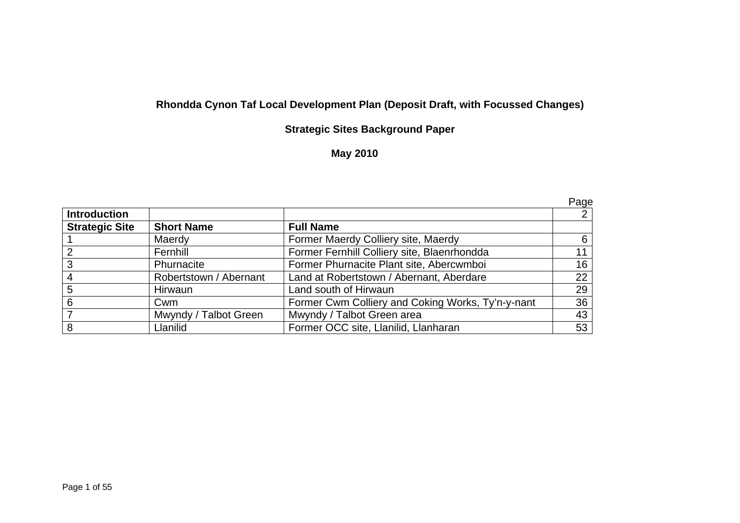# **Rhondda Cynon Taf Local Development Plan (Deposit Draft, with Focussed Changes)**

## **Strategic Sites Background Paper**

## **May 2010**

|                       |                        |                                                   | Page |
|-----------------------|------------------------|---------------------------------------------------|------|
| <b>Introduction</b>   |                        |                                                   |      |
| <b>Strategic Site</b> | <b>Short Name</b>      | <b>Full Name</b>                                  |      |
|                       | Maerdy                 | Former Maerdy Colliery site, Maerdy               | 6    |
|                       | Fernhill               | Former Fernhill Colliery site, Blaenrhondda       | 11   |
| 3                     | Phurnacite             | Former Phurnacite Plant site, Abercwmboi          | 16   |
|                       | Robertstown / Abernant | Land at Robertstown / Abernant, Aberdare          | 22   |
| 5                     | Hirwaun                | Land south of Hirwaun                             | 29   |
| 6                     | Cwm                    | Former Cwm Colliery and Coking Works, Ty'n-y-nant | 36   |
|                       | Mwyndy / Talbot Green  | Mwyndy / Talbot Green area                        | 43   |
| 8                     | Llanilid               | Former OCC site, Llanilid, Llanharan              | 53   |

Page 1 of 55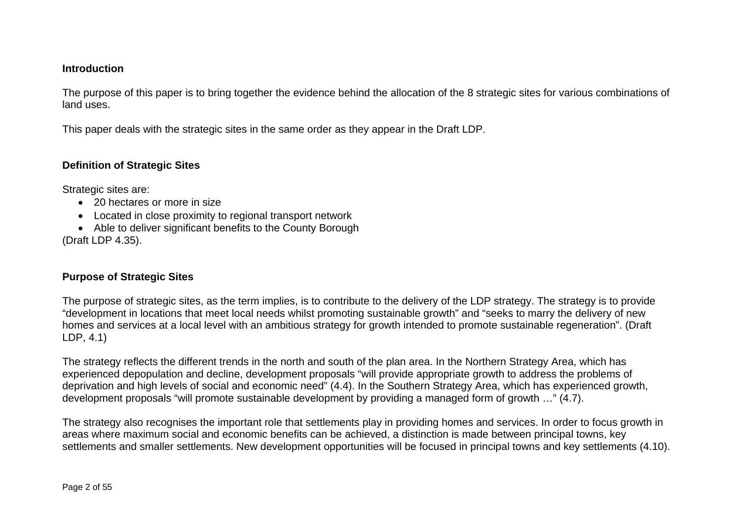#### **Introduction**

The purpose of this paper is to bring together the evidence behind the allocation of the 8 strategic sites for various combinations of land uses.

This paper deals with the strategic sites in the same order as they appear in the Draft LDP.

### **Definition of Strategic Sites**

Strategic sites are:

- 20 hectares or more in size
- Located in close proximity to regional transport network
- Able to deliver significant benefits to the County Borough (Draft LDP 4.35).

#### **Purpose of Strategic Sites**

The purpose of strategic sites, as the term implies, is to contribute to the delivery of the LDP strategy. The strategy is to provide "development in locations that meet local needs whilst promoting sustainable growth" and "seeks to marry the delivery of new homes and services at a local level with an ambitious strategy for growth intended to promote sustainable regeneration". (Draft LDP, 4.1)

The strategy reflects the different trends in the north and south of the plan area. In the Northern Strategy Area, which has experienced depopulation and decline, development proposals "will provide appropriate growth to address the problems of deprivation and high levels of social and economic need" (4.4). In the Southern Strategy Area, which has experienced growth, development proposals "will promote sustainable development by providing a managed form of growth …" (4.7).

The strategy also recognises the important role that settlements play in providing homes and services. In order to focus growth in areas where maximum social and economic benefits can be achieved, a distinction is made between principal towns, key settlements and smaller settlements. New development opportunities will be focused in principal towns and key settlements (4.10).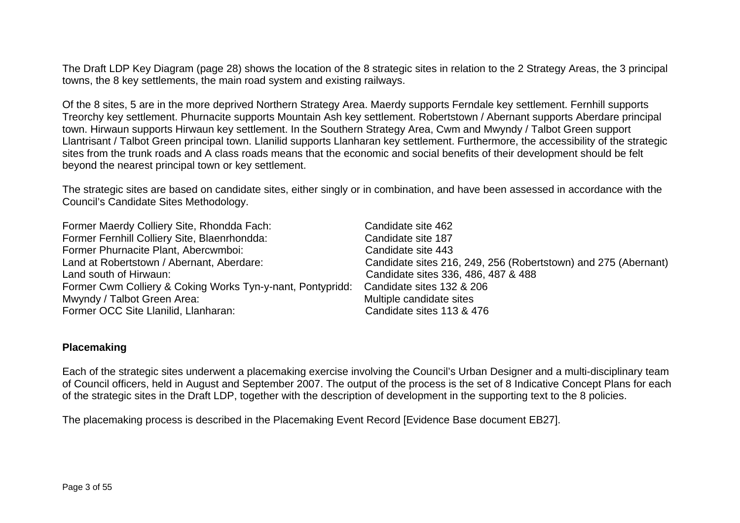The Draft LDP Key Diagram (page 28) shows the location of the 8 strategic sites in relation to the 2 Strategy Areas, the 3 principal towns, the 8 key settlements, the main road system and existing railways.

Of the 8 sites, 5 are in the more deprived Northern Strategy Area. Maerdy supports Ferndale key settlement. Fernhill supports Treorchy key settlement. Phurnacite supports Mountain Ash key settlement. Robertstown / Abernant supports Aberdare principal town. Hirwaun supports Hirwaun key settlement. In the Southern Strategy Area, Cwm and Mwyndy / Talbot Green support Llantrisant / Talbot Green principal town. Llanilid supports Llanharan key settlement. Furthermore, the accessibility of the strategic sites from the trunk roads and A class roads means that the economic and social benefits of their development should be felt beyond the nearest principal town or key settlement.

The strategic sites are based on candidate sites, either singly or in combination, and have been assessed in accordance with the Council's Candidate Sites Methodology.

| Former Maerdy Colliery Site, Rhondda Fach:                 | Candidate site 462                                             |
|------------------------------------------------------------|----------------------------------------------------------------|
| Former Fernhill Colliery Site, Blaenrhondda:               | Candidate site 187                                             |
| Former Phurnacite Plant, Abercwmboi:                       | Candidate site 443                                             |
| Land at Robertstown / Abernant, Aberdare:                  | Candidate sites 216, 249, 256 (Robertstown) and 275 (Abernant) |
| Land south of Hirwaun:                                     | Candidate sites 336, 486, 487 & 488                            |
| Former Cwm Colliery & Coking Works Tyn-y-nant, Pontypridd: | Candidate sites 132 & 206                                      |
| Mwyndy / Talbot Green Area:                                | Multiple candidate sites                                       |
| Former OCC Site Llanilid, Llanharan:                       | Candidate sites 113 & 476                                      |

#### **Placemaking**

Each of the strategic sites underwent a placemaking exercise involving the Council's Urban Designer and a multi-disciplinary team of Council officers, held in August and September 2007. The output of the process is the set of 8 Indicative Concept Plans for each of the strategic sites in the Draft LDP, together with the description of development in the supporting text to the 8 policies.

The placemaking process is described in the Placemaking Event Record [Evidence Base document EB27].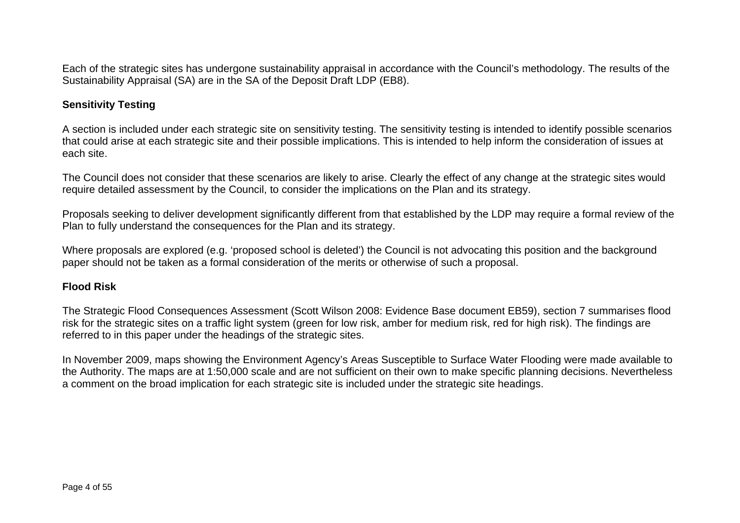Each of the strategic sites has undergone sustainability appraisal in accordance with the Council's methodology. The results of the Sustainability Appraisal (SA) are in the SA of the Deposit Draft LDP (EB8).

## **Sensitivity Testing**

A section is included under each strategic site on sensitivity testing. The sensitivity testing is intended to identify possible scenarios that could arise at each strategic site and their possible implications. This is intended to help inform the consideration of issues at each site.

The Council does not consider that these scenarios are likely to arise. Clearly the effect of any change at the strategic sites would require detailed assessment by the Council, to consider the implications on the Plan and its strategy.

Proposals seeking to deliver development significantly different from that established by the LDP may require a formal review of the Plan to fully understand the consequences for the Plan and its strategy.

Where proposals are explored (e.g. 'proposed school is deleted') the Council is not advocating this position and the background paper should not be taken as a formal consideration of the merits or otherwise of such a proposal.

## **Flood Risk**

The Strategic Flood Consequences Assessment (Scott Wilson 2008: Evidence Base document EB59), section 7 summarises flood risk for the strategic sites on a traffic light system (green for low risk, amber for medium risk, red for high risk). The findings are referred to in this paper under the headings of the strategic sites.

In November 2009, maps showing the Environment Agency's Areas Susceptible to Surface Water Flooding were made available to the Authority. The maps are at 1:50,000 scale and are not sufficient on their own to make specific planning decisions. Nevertheless a comment on the broad implication for each strategic site is included under the strategic site headings.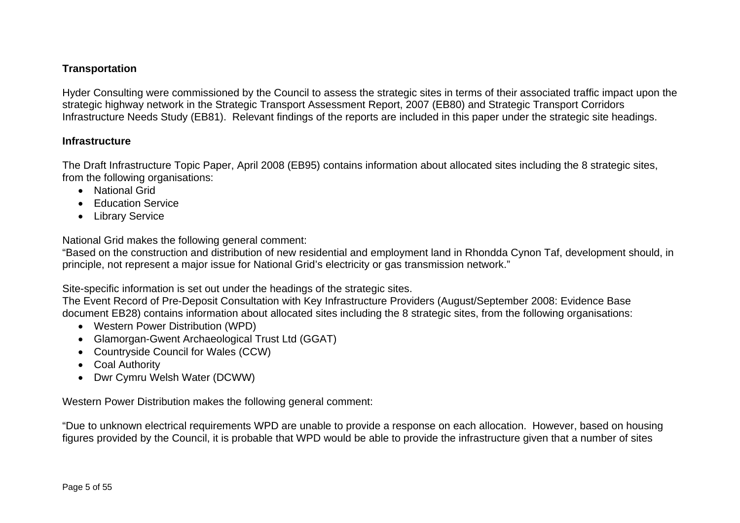## **Transportation**

Hyder Consulting were commissioned by the Council to assess the strategic sites in terms of their associated traffic impact upon the strategic highway network in the Strategic Transport Assessment Report, 2007 (EB80) and Strategic Transport Corridors Infrastructure Needs Study (EB81). Relevant findings of the reports are included in this paper under the strategic site headings.

#### **Infrastructure**

The Draft Infrastructure Topic Paper, April 2008 (EB95) contains information about allocated sites including the 8 strategic sites, from the following organisations:

- National Grid
- Education Service
- Library Service

National Grid makes the following general comment:

"Based on the construction and distribution of new residential and employment land in Rhondda Cynon Taf, development should, in principle, not represent a major issue for National Grid's electricity or gas transmission network."

Site-specific information is set out under the headings of the strategic sites.

The Event Record of Pre-Deposit Consultation with Key Infrastructure Providers (August/September 2008: Evidence Base document EB28) contains information about allocated sites including the 8 strategic sites, from the following organisations:

- Western Power Distribution (WPD)
- Glamorgan-Gwent Archaeological Trust Ltd (GGAT)
- Countryside Council for Wales (CCW)
- Coal Authority
- Dwr Cymru Welsh Water (DCWW)

Western Power Distribution makes the following general comment:

"Due to unknown electrical requirements WPD are unable to provide a response on each allocation. However, based on housing figures provided by the Council, it is probable that WPD would be able to provide the infrastructure given that a number of sites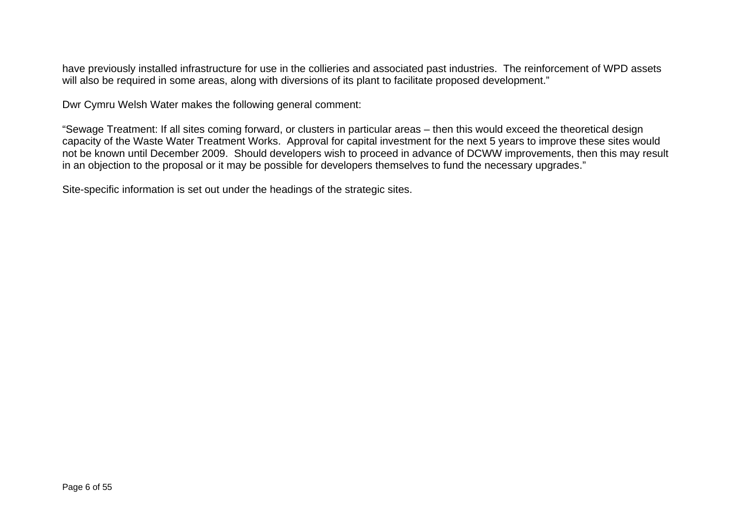have previously installed infrastructure for use in the collieries and associated past industries. The reinforcement of WPD assets will also be required in some areas, along with diversions of its plant to facilitate proposed development."

Dwr Cymru Welsh Water makes the following general comment:

"Sewage Treatment: If all sites coming forward, or clusters in particular areas – then this would exceed the theoretical design capacity of the Waste Water Treatment Works. Approval for capital investment for the next 5 years to improve these sites would not be known until December 2009. Should developers wish to proceed in advance of DCWW improvements, then this may result in an objection to the proposal or it may be possible for developers themselves to fund the necessary upgrades."

Site-specific information is set out under the headings of the strategic sites.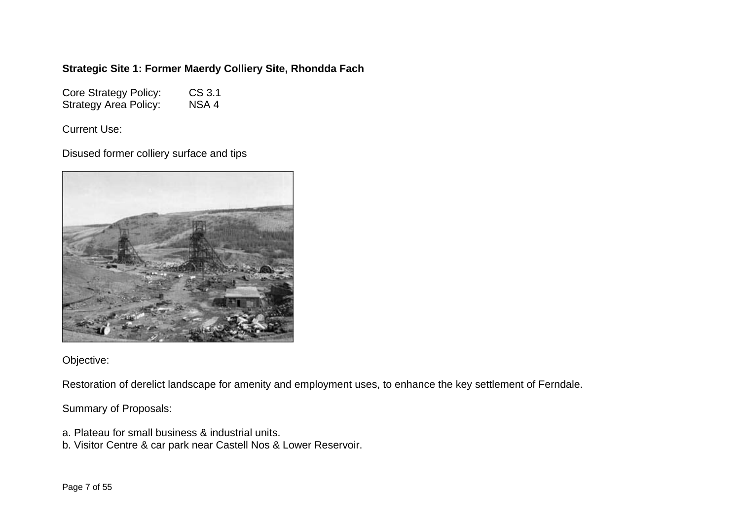## **Strategic Site 1: Former Maerdy Colliery Site, Rhondda Fach**

Core Strategy Policy: CS 3.1<br>Strategy Area Policy: NSA 4 Strategy Area Policy:

Current Use:

Disused former colliery surface and tips



Objective:

Restoration of derelict landscape for amenity and employment uses, to enhance the key settlement of Ferndale.

Summary of Proposals:

- a. Plateau for small business & industrial units.
- b. Visitor Centre & car park near Castell Nos & Lower Reservoir.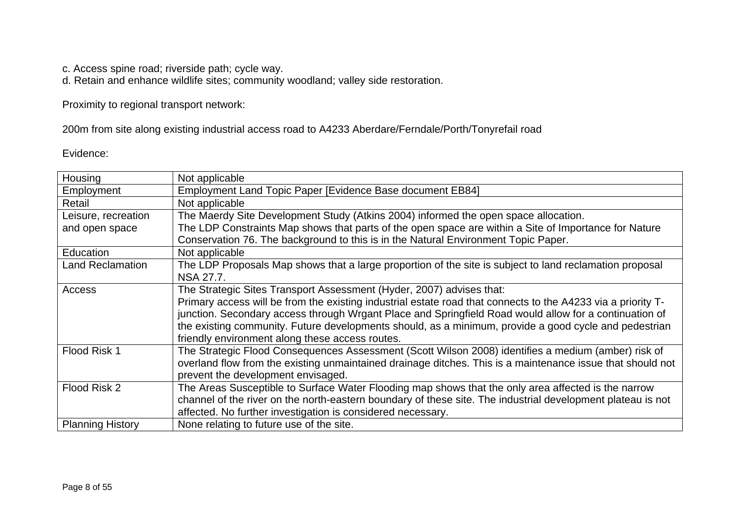c. Access spine road; riverside path; cycle way.

d. Retain and enhance wildlife sites; community woodland; valley side restoration.

Proximity to regional transport network:

200m from site along existing industrial access road to A4233 Aberdare/Ferndale/Porth/Tonyrefail road

Evidence:

| Housing                 | Not applicable                                                                                               |
|-------------------------|--------------------------------------------------------------------------------------------------------------|
| Employment              | Employment Land Topic Paper [Evidence Base document EB84]                                                    |
| Retail                  | Not applicable                                                                                               |
| Leisure, recreation     | The Maerdy Site Development Study (Atkins 2004) informed the open space allocation.                          |
| and open space          | The LDP Constraints Map shows that parts of the open space are within a Site of Importance for Nature        |
|                         | Conservation 76. The background to this is in the Natural Environment Topic Paper.                           |
| Education               | Not applicable                                                                                               |
| <b>Land Reclamation</b> | The LDP Proposals Map shows that a large proportion of the site is subject to land reclamation proposal      |
|                         | NSA 27.7.                                                                                                    |
| Access                  | The Strategic Sites Transport Assessment (Hyder, 2007) advises that:                                         |
|                         | Primary access will be from the existing industrial estate road that connects to the A4233 via a priority T- |
|                         | junction. Secondary access through Wrgant Place and Springfield Road would allow for a continuation of       |
|                         | the existing community. Future developments should, as a minimum, provide a good cycle and pedestrian        |
|                         | friendly environment along these access routes.                                                              |
| Flood Risk 1            | The Strategic Flood Consequences Assessment (Scott Wilson 2008) identifies a medium (amber) risk of          |
|                         | overland flow from the existing unmaintained drainage ditches. This is a maintenance issue that should not   |
|                         | prevent the development envisaged.                                                                           |
| Flood Risk 2            | The Areas Susceptible to Surface Water Flooding map shows that the only area affected is the narrow          |
|                         | channel of the river on the north-eastern boundary of these site. The industrial development plateau is not  |
|                         | affected. No further investigation is considered necessary.                                                  |
| <b>Planning History</b> | None relating to future use of the site.                                                                     |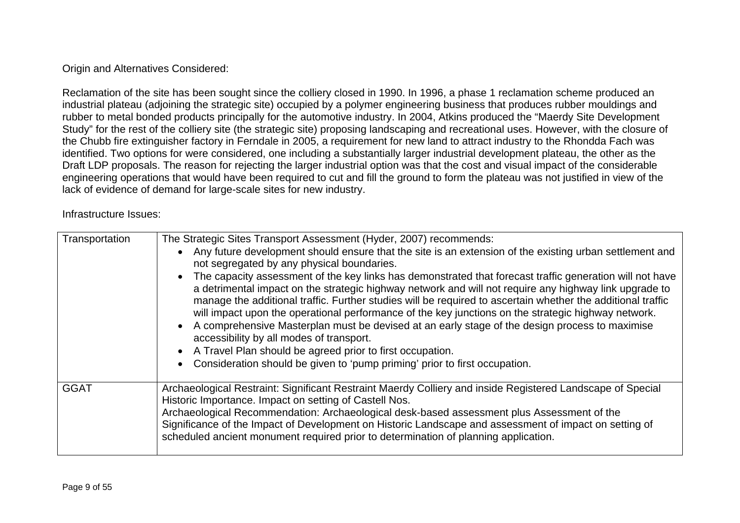### Origin and Alternatives Considered:

Reclamation of the site has been sought since the colliery closed in 1990. In 1996, a phase 1 reclamation scheme produced an industrial plateau (adjoining the strategic site) occupied by a polymer engineering business that produces rubber mouldings and rubber to metal bonded products principally for the automotive industry. In 2004, Atkins produced the "Maerdy Site Development Study" for the rest of the colliery site (the strategic site) proposing landscaping and recreational uses. However, with the closure of the Chubb fire extinguisher factory in Ferndale in 2005, a requirement for new land to attract industry to the Rhondda Fach was identified. Two options for were considered, one including a substantially larger industrial development plateau, the other as the Draft LDP proposals. The reason for rejecting the larger industrial option was that the cost and visual impact of the considerable engineering operations that would have been required to cut and fill the ground to form the plateau was not justified in view of the lack of evidence of demand for large-scale sites for new industry.

Infrastructure Issues:

| Transportation | The Strategic Sites Transport Assessment (Hyder, 2007) recommends:<br>• Any future development should ensure that the site is an extension of the existing urban settlement and<br>not segregated by any physical boundaries.<br>The capacity assessment of the key links has demonstrated that forecast traffic generation will not have<br>a detrimental impact on the strategic highway network and will not require any highway link upgrade to<br>manage the additional traffic. Further studies will be required to ascertain whether the additional traffic<br>will impact upon the operational performance of the key junctions on the strategic highway network.<br>• A comprehensive Masterplan must be devised at an early stage of the design process to maximise<br>accessibility by all modes of transport.<br>• A Travel Plan should be agreed prior to first occupation.<br>• Consideration should be given to 'pump priming' prior to first occupation. |
|----------------|--------------------------------------------------------------------------------------------------------------------------------------------------------------------------------------------------------------------------------------------------------------------------------------------------------------------------------------------------------------------------------------------------------------------------------------------------------------------------------------------------------------------------------------------------------------------------------------------------------------------------------------------------------------------------------------------------------------------------------------------------------------------------------------------------------------------------------------------------------------------------------------------------------------------------------------------------------------------------|
| <b>GGAT</b>    | Archaeological Restraint: Significant Restraint Maerdy Colliery and inside Registered Landscape of Special<br>Historic Importance. Impact on setting of Castell Nos.<br>Archaeological Recommendation: Archaeological desk-based assessment plus Assessment of the<br>Significance of the Impact of Development on Historic Landscape and assessment of impact on setting of<br>scheduled ancient monument required prior to determination of planning application.                                                                                                                                                                                                                                                                                                                                                                                                                                                                                                      |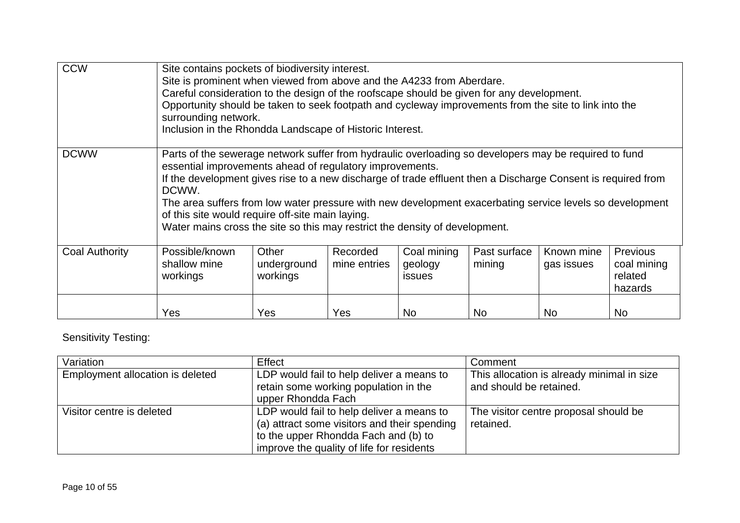| <b>CCW</b>            | Site contains pockets of biodiversity interest.<br>Site is prominent when viewed from above and the A4233 from Aberdare.<br>Careful consideration to the design of the roofscape should be given for any development.<br>Opportunity should be taken to seek footpath and cycleway improvements from the site to link into the<br>surrounding network.<br>Inclusion in the Rhondda Landscape of Historic Interest.                                                                                                                        |                                  |                          |                                         |                        |                          |                                                      |
|-----------------------|-------------------------------------------------------------------------------------------------------------------------------------------------------------------------------------------------------------------------------------------------------------------------------------------------------------------------------------------------------------------------------------------------------------------------------------------------------------------------------------------------------------------------------------------|----------------------------------|--------------------------|-----------------------------------------|------------------------|--------------------------|------------------------------------------------------|
| <b>DCWW</b>           | Parts of the sewerage network suffer from hydraulic overloading so developers may be required to fund<br>essential improvements ahead of regulatory improvements.<br>If the development gives rise to a new discharge of trade effluent then a Discharge Consent is required from<br>DCWW.<br>The area suffers from low water pressure with new development exacerbating service levels so development<br>of this site would require off-site main laying.<br>Water mains cross the site so this may restrict the density of development. |                                  |                          |                                         |                        |                          |                                                      |
| <b>Coal Authority</b> | Possible/known<br>shallow mine<br>workings                                                                                                                                                                                                                                                                                                                                                                                                                                                                                                | Other<br>underground<br>workings | Recorded<br>mine entries | Coal mining<br>geology<br><b>issues</b> | Past surface<br>mining | Known mine<br>gas issues | <b>Previous</b><br>coal mining<br>related<br>hazards |
|                       | Yes                                                                                                                                                                                                                                                                                                                                                                                                                                                                                                                                       | Yes                              | Yes                      | <b>No</b>                               | <b>No</b>              | <b>No</b>                | No                                                   |

## Sensitivity Testing:

| Variation                        | Effect                                                                                                                                                                         | Comment                                                               |
|----------------------------------|--------------------------------------------------------------------------------------------------------------------------------------------------------------------------------|-----------------------------------------------------------------------|
| Employment allocation is deleted | LDP would fail to help deliver a means to<br>retain some working population in the<br>upper Rhondda Fach                                                                       | This allocation is already minimal in size<br>and should be retained. |
| Visitor centre is deleted        | LDP would fail to help deliver a means to<br>(a) attract some visitors and their spending<br>to the upper Rhondda Fach and (b) to<br>improve the quality of life for residents | The visitor centre proposal should be<br>retained.                    |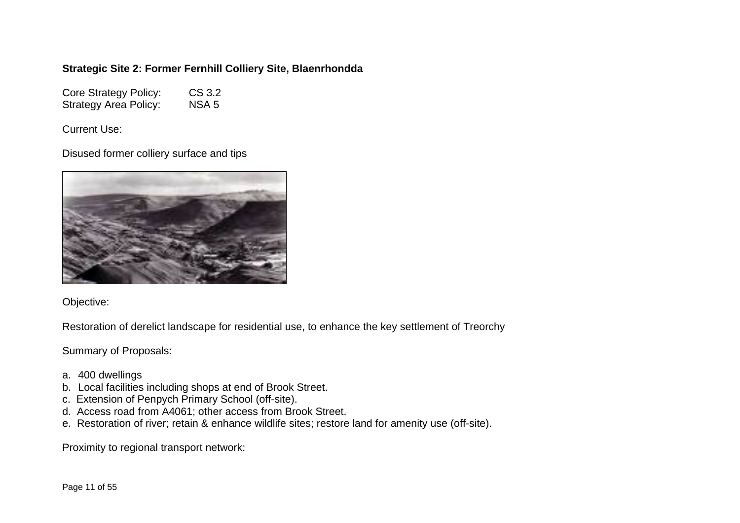### **Strategic Site 2: Former Fernhill Colliery Site, Blaenrhondda**

Core Strategy Policy: CS 3.2 Strategy Area Policy: NSA 5

Current Use:

Disused former colliery surface and tips



Objective:

Restoration of derelict landscape for residential use, to enhance the key settlement of Treorchy

Summary of Proposals:

- a. 400 dwellings
- b. Local facilities including shops at end of Brook Street.
- c. Extension of Penpych Primary School (off-site).
- d. Access road from A4061; other access from Brook Street.
- e. Restoration of river; retain & enhance wildlife sites; restore land for amenity use (off-site).

Proximity to regional transport network: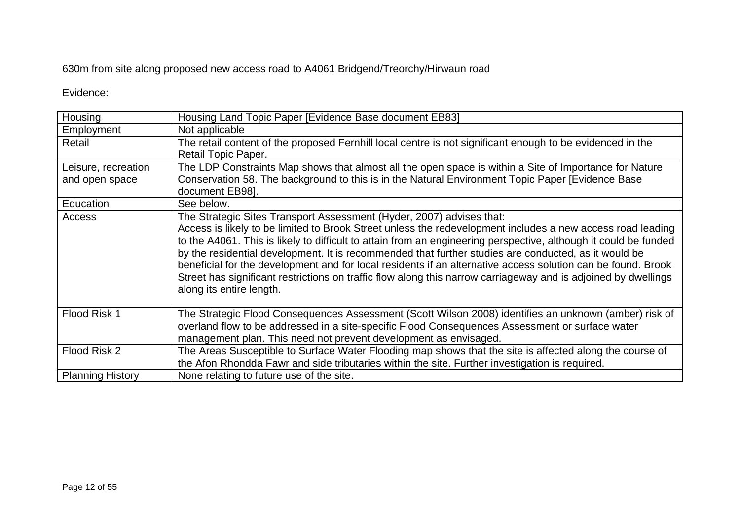## 630m from site along proposed new access road to A4061 Bridgend/Treorchy/Hirwaun road

#### Evidence:

| Housing                 | Housing Land Topic Paper [Evidence Base document EB83]                                                                                                                                                                                                                                                                                                                                                                                                                                                                                                                                                                                                                       |
|-------------------------|------------------------------------------------------------------------------------------------------------------------------------------------------------------------------------------------------------------------------------------------------------------------------------------------------------------------------------------------------------------------------------------------------------------------------------------------------------------------------------------------------------------------------------------------------------------------------------------------------------------------------------------------------------------------------|
| Employment              | Not applicable                                                                                                                                                                                                                                                                                                                                                                                                                                                                                                                                                                                                                                                               |
| Retail                  | The retail content of the proposed Fernhill local centre is not significant enough to be evidenced in the<br>Retail Topic Paper.                                                                                                                                                                                                                                                                                                                                                                                                                                                                                                                                             |
| Leisure, recreation     | The LDP Constraints Map shows that almost all the open space is within a Site of Importance for Nature                                                                                                                                                                                                                                                                                                                                                                                                                                                                                                                                                                       |
| and open space          | Conservation 58. The background to this is in the Natural Environment Topic Paper [Evidence Base]<br>document EB98].                                                                                                                                                                                                                                                                                                                                                                                                                                                                                                                                                         |
| Education               | See below.                                                                                                                                                                                                                                                                                                                                                                                                                                                                                                                                                                                                                                                                   |
| Access                  | The Strategic Sites Transport Assessment (Hyder, 2007) advises that:<br>Access is likely to be limited to Brook Street unless the redevelopment includes a new access road leading<br>to the A4061. This is likely to difficult to attain from an engineering perspective, although it could be funded<br>by the residential development. It is recommended that further studies are conducted, as it would be<br>beneficial for the development and for local residents if an alternative access solution can be found. Brook<br>Street has significant restrictions on traffic flow along this narrow carriageway and is adjoined by dwellings<br>along its entire length. |
| Flood Risk 1            | The Strategic Flood Consequences Assessment (Scott Wilson 2008) identifies an unknown (amber) risk of<br>overland flow to be addressed in a site-specific Flood Consequences Assessment or surface water<br>management plan. This need not prevent development as envisaged.                                                                                                                                                                                                                                                                                                                                                                                                 |
| Flood Risk 2            | The Areas Susceptible to Surface Water Flooding map shows that the site is affected along the course of<br>the Afon Rhondda Fawr and side tributaries within the site. Further investigation is required.                                                                                                                                                                                                                                                                                                                                                                                                                                                                    |
| <b>Planning History</b> | None relating to future use of the site.                                                                                                                                                                                                                                                                                                                                                                                                                                                                                                                                                                                                                                     |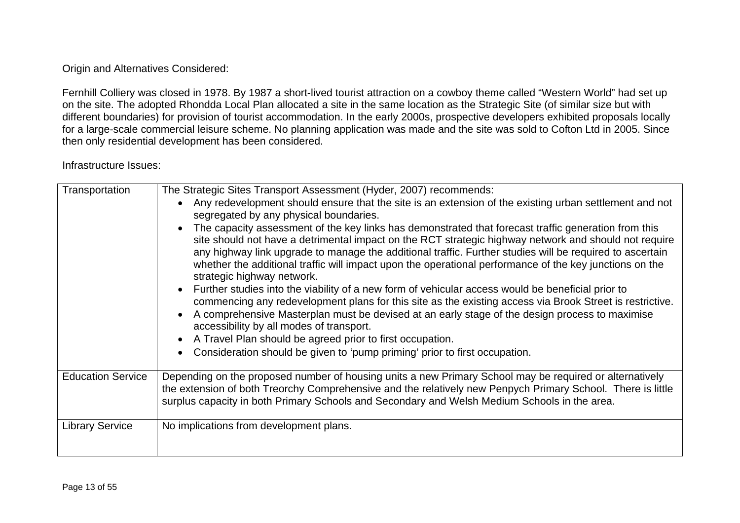Origin and Alternatives Considered:

Fernhill Colliery was closed in 1978. By 1987 a short-lived tourist attraction on a cowboy theme called "Western World" had set up on the site. The adopted Rhondda Local Plan allocated a site in the same location as the Strategic Site (of similar size but with different boundaries) for provision of tourist accommodation. In the early 2000s, prospective developers exhibited proposals locally for a large-scale commercial leisure scheme. No planning application was made and the site was sold to Cofton Ltd in 2005. Since then only residential development has been considered.

Infrastructure Issues:

| Transportation           | The Strategic Sites Transport Assessment (Hyder, 2007) recommends:<br>Any redevelopment should ensure that the site is an extension of the existing urban settlement and not<br>segregated by any physical boundaries.<br>The capacity assessment of the key links has demonstrated that forecast traffic generation from this<br>$\bullet$<br>site should not have a detrimental impact on the RCT strategic highway network and should not require<br>any highway link upgrade to manage the additional traffic. Further studies will be required to ascertain<br>whether the additional traffic will impact upon the operational performance of the key junctions on the<br>strategic highway network.<br>Further studies into the viability of a new form of vehicular access would be beneficial prior to<br>commencing any redevelopment plans for this site as the existing access via Brook Street is restrictive.<br>A comprehensive Masterplan must be devised at an early stage of the design process to maximise<br>accessibility by all modes of transport.<br>A Travel Plan should be agreed prior to first occupation.<br>$\bullet$ |
|--------------------------|----------------------------------------------------------------------------------------------------------------------------------------------------------------------------------------------------------------------------------------------------------------------------------------------------------------------------------------------------------------------------------------------------------------------------------------------------------------------------------------------------------------------------------------------------------------------------------------------------------------------------------------------------------------------------------------------------------------------------------------------------------------------------------------------------------------------------------------------------------------------------------------------------------------------------------------------------------------------------------------------------------------------------------------------------------------------------------------------------------------------------------------------------|
|                          | Consideration should be given to 'pump priming' prior to first occupation.                                                                                                                                                                                                                                                                                                                                                                                                                                                                                                                                                                                                                                                                                                                                                                                                                                                                                                                                                                                                                                                                         |
| <b>Education Service</b> | Depending on the proposed number of housing units a new Primary School may be required or alternatively<br>the extension of both Treorchy Comprehensive and the relatively new Penpych Primary School. There is little<br>surplus capacity in both Primary Schools and Secondary and Welsh Medium Schools in the area.                                                                                                                                                                                                                                                                                                                                                                                                                                                                                                                                                                                                                                                                                                                                                                                                                             |
| <b>Library Service</b>   | No implications from development plans.                                                                                                                                                                                                                                                                                                                                                                                                                                                                                                                                                                                                                                                                                                                                                                                                                                                                                                                                                                                                                                                                                                            |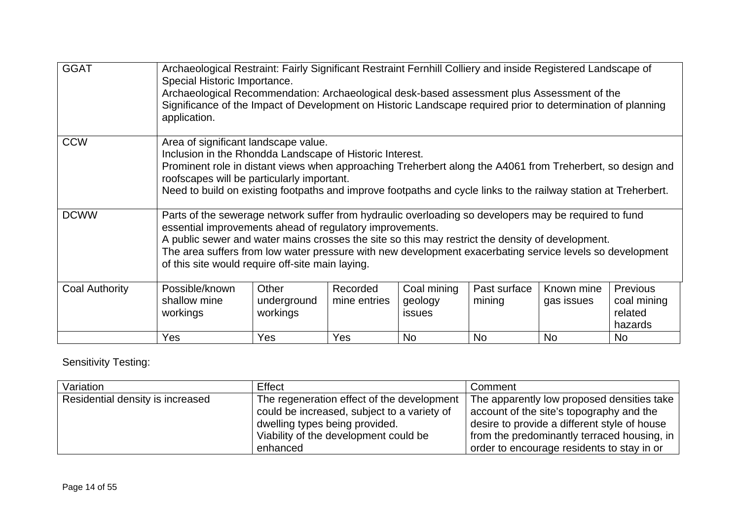| <b>GGAT</b>           | Archaeological Restraint: Fairly Significant Restraint Fernhill Colliery and inside Registered Landscape of<br>Special Historic Importance.<br>Archaeological Recommendation: Archaeological desk-based assessment plus Assessment of the<br>Significance of the Impact of Development on Historic Landscape required prior to determination of planning<br>application.                                                              |                                  |                          |                                  |                        |                          |                                               |
|-----------------------|---------------------------------------------------------------------------------------------------------------------------------------------------------------------------------------------------------------------------------------------------------------------------------------------------------------------------------------------------------------------------------------------------------------------------------------|----------------------------------|--------------------------|----------------------------------|------------------------|--------------------------|-----------------------------------------------|
| <b>CCW</b>            | Area of significant landscape value.<br>Inclusion in the Rhondda Landscape of Historic Interest.<br>Prominent role in distant views when approaching Treherbert along the A4061 from Treherbert, so design and<br>roofscapes will be particularly important.<br>Need to build on existing footpaths and improve footpaths and cycle links to the railway station at Treherbert.                                                       |                                  |                          |                                  |                        |                          |                                               |
| <b>DCWW</b>           | Parts of the sewerage network suffer from hydraulic overloading so developers may be required to fund<br>essential improvements ahead of regulatory improvements.<br>A public sewer and water mains crosses the site so this may restrict the density of development.<br>The area suffers from low water pressure with new development exacerbating service levels so development<br>of this site would require off-site main laying. |                                  |                          |                                  |                        |                          |                                               |
| <b>Coal Authority</b> | Possible/known<br>shallow mine<br>workings                                                                                                                                                                                                                                                                                                                                                                                            | Other<br>underground<br>workings | Recorded<br>mine entries | Coal mining<br>geology<br>issues | Past surface<br>mining | Known mine<br>gas issues | Previous<br>coal mining<br>related<br>hazards |
|                       | Yes                                                                                                                                                                                                                                                                                                                                                                                                                                   | Yes                              | Yes                      | <b>No</b>                        | <b>No</b>              | <b>No</b>                | No                                            |

Sensitivity Testing:

| Variation                        | Effect                                                                                    | Comment                                                                                     |
|----------------------------------|-------------------------------------------------------------------------------------------|---------------------------------------------------------------------------------------------|
| Residential density is increased | The regeneration effect of the development<br>could be increased, subject to a variety of | The apparently low proposed densities take '<br>account of the site's topography and the    |
|                                  | dwelling types being provided.<br>Viability of the development could be                   | desire to provide a different style of house<br>from the predominantly terraced housing, in |
|                                  | enhanced                                                                                  | order to encourage residents to stay in or                                                  |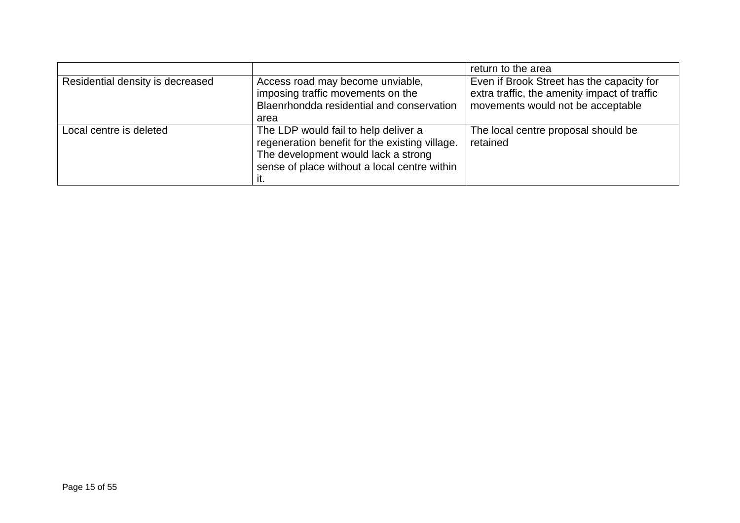|                                  |                                                                                                                                                                                      | return to the area                                                                                                             |
|----------------------------------|--------------------------------------------------------------------------------------------------------------------------------------------------------------------------------------|--------------------------------------------------------------------------------------------------------------------------------|
| Residential density is decreased | Access road may become unviable,<br>imposing traffic movements on the<br>Blaenrhondda residential and conservation<br>area                                                           | Even if Brook Street has the capacity for<br>extra traffic, the amenity impact of traffic<br>movements would not be acceptable |
| Local centre is deleted          | The LDP would fail to help deliver a<br>regeneration benefit for the existing village.<br>The development would lack a strong<br>sense of place without a local centre within<br>ıt. | The local centre proposal should be<br>retained                                                                                |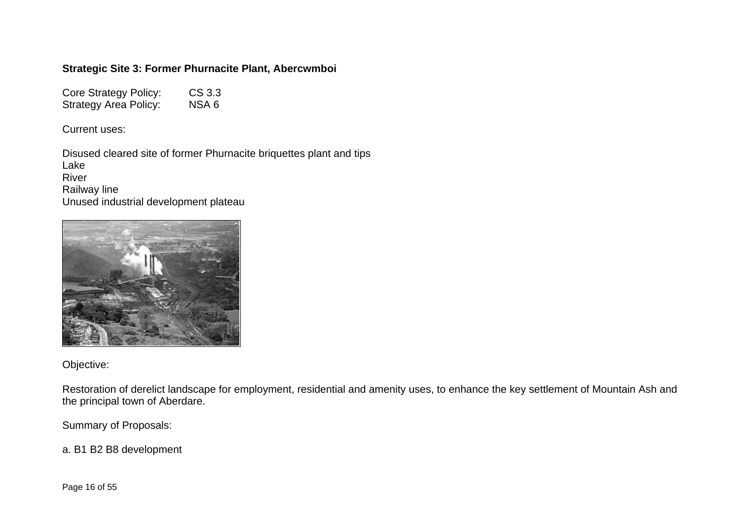## **Strategic Site 3: Former Phurnacite Plant, Abercwmboi**

Core Strategy Policy: CS 3.3<br>Strategy Area Policy: NSA 6 Strategy Area Policy:

Current uses:

Disused cleared site of former Phurnacite briquettes plant and tips Lake River Railway line Unused industrial development plateau



Objective:

Restoration of derelict landscape for employment, residential and amenity uses, to enhance the key settlement of Mountain Ash and the principal town of Aberdare.

Summary of Proposals:

a. B1 B2 B8 development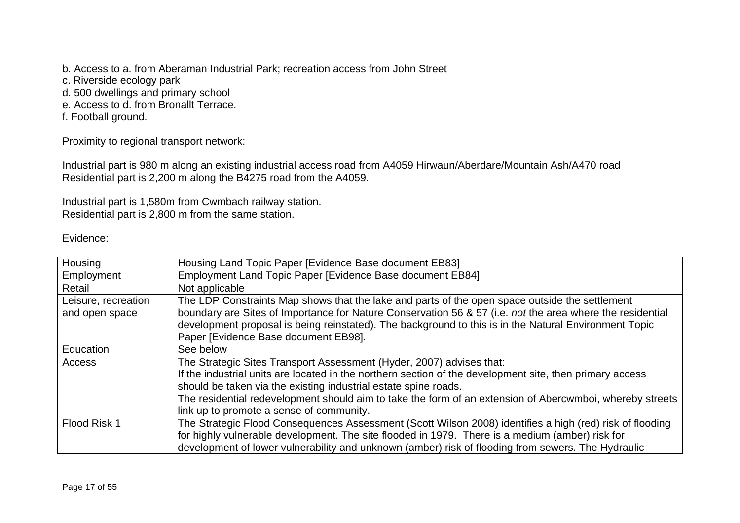b. Access to a. from Aberaman Industrial Park; recreation access from John Street

- c. Riverside ecology park
- d. 500 dwellings and primary school
- e. Access to d. from Bronallt Terrace.
- f. Football ground.

Proximity to regional transport network:

Industrial part is 980 m along an existing industrial access road from A4059 Hirwaun/Aberdare/Mountain Ash/A470 road Residential part is 2,200 m along the B4275 road from the A4059.

Industrial part is 1,580m from Cwmbach railway station. Residential part is 2,800 m from the same station.

#### Evidence:

| Housing             | Housing Land Topic Paper [Evidence Base document EB83]                                                    |
|---------------------|-----------------------------------------------------------------------------------------------------------|
| Employment          | Employment Land Topic Paper [Evidence Base document EB84]                                                 |
| Retail              | Not applicable                                                                                            |
| Leisure, recreation | The LDP Constraints Map shows that the lake and parts of the open space outside the settlement            |
| and open space      | boundary are Sites of Importance for Nature Conservation 56 & 57 (i.e. not the area where the residential |
|                     | development proposal is being reinstated). The background to this is in the Natural Environment Topic     |
|                     | Paper [Evidence Base document EB98].                                                                      |
| Education           | See below                                                                                                 |
| Access              | The Strategic Sites Transport Assessment (Hyder, 2007) advises that:                                      |
|                     | If the industrial units are located in the northern section of the development site, then primary access  |
|                     | should be taken via the existing industrial estate spine roads.                                           |
|                     | The residential redevelopment should aim to take the form of an extension of Abercwmboi, whereby streets  |
|                     | link up to promote a sense of community.                                                                  |
| Flood Risk 1        | The Strategic Flood Consequences Assessment (Scott Wilson 2008) identifies a high (red) risk of flooding  |
|                     | for highly vulnerable development. The site flooded in 1979. There is a medium (amber) risk for           |
|                     | development of lower vulnerability and unknown (amber) risk of flooding from sewers. The Hydraulic        |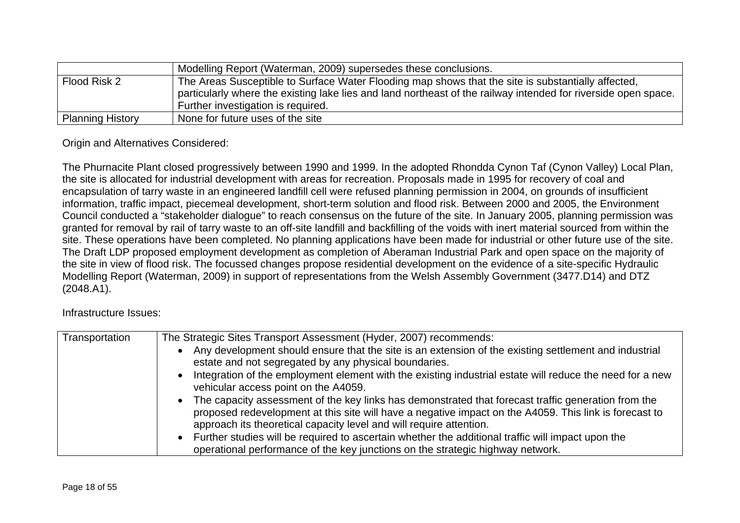|                         | Modelling Report (Waterman, 2009) supersedes these conclusions.                                                                                                                                                                                            |
|-------------------------|------------------------------------------------------------------------------------------------------------------------------------------------------------------------------------------------------------------------------------------------------------|
| Flood Risk 2            | The Areas Susceptible to Surface Water Flooding map shows that the site is substantially affected,<br>particularly where the existing lake lies and land northeast of the railway intended for riverside open space.<br>Further investigation is required. |
| <b>Planning History</b> | None for future uses of the site                                                                                                                                                                                                                           |

Origin and Alternatives Considered:

The Phurnacite Plant closed progressively between 1990 and 1999. In the adopted Rhondda Cynon Taf (Cynon Valley) Local Plan, the site is allocated for industrial development with areas for recreation. Proposals made in 1995 for recovery of coal and encapsulation of tarry waste in an engineered landfill cell were refused planning permission in 2004, on grounds of insufficient information, traffic impact, piecemeal development, short-term solution and flood risk. Between 2000 and 2005, the Environment Council conducted a "stakeholder dialogue" to reach consensus on the future of the site. In January 2005, planning permission was granted for removal by rail of tarry waste to an off-site landfill and backfilling of the voids with inert material sourced from within the site. These operations have been completed. No planning applications have been made for industrial or other future use of the site. The Draft LDP proposed employment development as completion of Aberaman Industrial Park and open space on the majority of the site in view of flood risk. The focussed changes propose residential development on the evidence of a site-specific Hydraulic Modelling Report (Waterman, 2009) in support of representations from the Welsh Assembly Government (3477.D14) and DTZ (2048.A1).

Infrastructure Issues:

| Transportation | The Strategic Sites Transport Assessment (Hyder, 2007) recommends:                                                                                                                                                                                                                     |
|----------------|----------------------------------------------------------------------------------------------------------------------------------------------------------------------------------------------------------------------------------------------------------------------------------------|
|                | Any development should ensure that the site is an extension of the existing settlement and industrial<br>estate and not segregated by any physical boundaries.                                                                                                                         |
|                | Integration of the employment element with the existing industrial estate will reduce the need for a new<br>vehicular access point on the A4059.                                                                                                                                       |
|                | • The capacity assessment of the key links has demonstrated that forecast traffic generation from the<br>proposed redevelopment at this site will have a negative impact on the A4059. This link is forecast to<br>approach its theoretical capacity level and will require attention. |
|                | • Further studies will be required to ascertain whether the additional traffic will impact upon the<br>operational performance of the key junctions on the strategic highway network.                                                                                                  |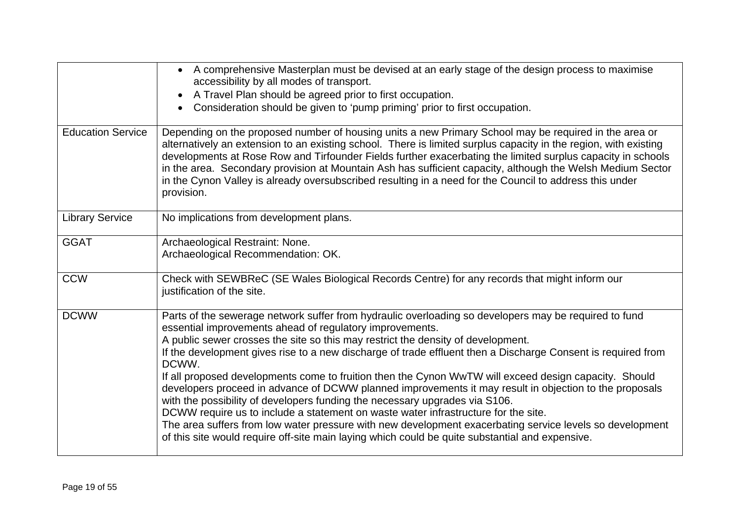|                          | A comprehensive Masterplan must be devised at an early stage of the design process to maximise<br>$\bullet$<br>accessibility by all modes of transport.<br>A Travel Plan should be agreed prior to first occupation.<br>$\bullet$<br>Consideration should be given to 'pump priming' prior to first occupation.<br>$\bullet$                                                                                                                                                                                                                                                                                                                                                                                                                                                                                                                                                                                                                                                          |
|--------------------------|---------------------------------------------------------------------------------------------------------------------------------------------------------------------------------------------------------------------------------------------------------------------------------------------------------------------------------------------------------------------------------------------------------------------------------------------------------------------------------------------------------------------------------------------------------------------------------------------------------------------------------------------------------------------------------------------------------------------------------------------------------------------------------------------------------------------------------------------------------------------------------------------------------------------------------------------------------------------------------------|
| <b>Education Service</b> | Depending on the proposed number of housing units a new Primary School may be required in the area or<br>alternatively an extension to an existing school. There is limited surplus capacity in the region, with existing<br>developments at Rose Row and Tirfounder Fields further exacerbating the limited surplus capacity in schools<br>in the area. Secondary provision at Mountain Ash has sufficient capacity, although the Welsh Medium Sector<br>in the Cynon Valley is already oversubscribed resulting in a need for the Council to address this under<br>provision.                                                                                                                                                                                                                                                                                                                                                                                                       |
| <b>Library Service</b>   | No implications from development plans.                                                                                                                                                                                                                                                                                                                                                                                                                                                                                                                                                                                                                                                                                                                                                                                                                                                                                                                                               |
| <b>GGAT</b>              | Archaeological Restraint: None.<br>Archaeological Recommendation: OK.                                                                                                                                                                                                                                                                                                                                                                                                                                                                                                                                                                                                                                                                                                                                                                                                                                                                                                                 |
| <b>CCW</b>               | Check with SEWBReC (SE Wales Biological Records Centre) for any records that might inform our<br>justification of the site.                                                                                                                                                                                                                                                                                                                                                                                                                                                                                                                                                                                                                                                                                                                                                                                                                                                           |
| <b>DCWW</b>              | Parts of the sewerage network suffer from hydraulic overloading so developers may be required to fund<br>essential improvements ahead of regulatory improvements.<br>A public sewer crosses the site so this may restrict the density of development.<br>If the development gives rise to a new discharge of trade effluent then a Discharge Consent is required from<br>DCWW.<br>If all proposed developments come to fruition then the Cynon WwTW will exceed design capacity. Should<br>developers proceed in advance of DCWW planned improvements it may result in objection to the proposals<br>with the possibility of developers funding the necessary upgrades via S106.<br>DCWW require us to include a statement on waste water infrastructure for the site.<br>The area suffers from low water pressure with new development exacerbating service levels so development<br>of this site would require off-site main laying which could be quite substantial and expensive. |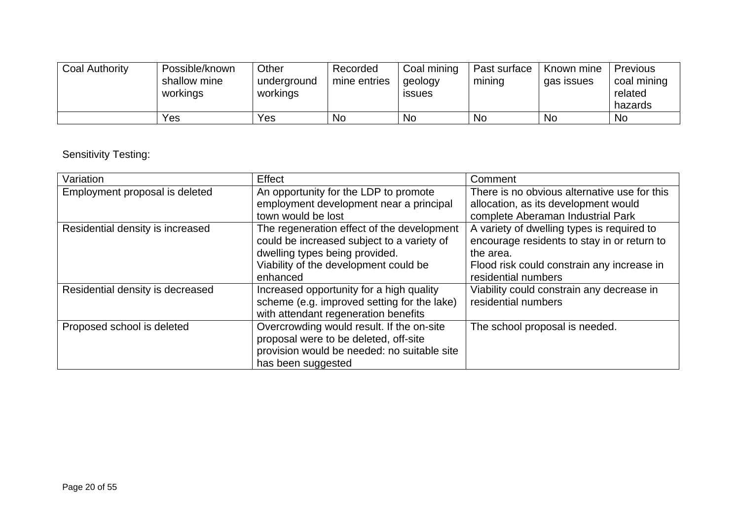| <b>Coal Authority</b> | Possible/known<br>shallow mine<br>workings | Other<br>underground<br>workings | Recorded<br>mine entries | Coal mining<br>geology<br><b>ISSUES</b> | Past surface<br>mining | Known mine<br>gas issues | Previous<br>coal mining<br>related<br>hazards |
|-----------------------|--------------------------------------------|----------------------------------|--------------------------|-----------------------------------------|------------------------|--------------------------|-----------------------------------------------|
|                       | Yes                                        | Yes                              | No                       | <b>No</b>                               | <b>Nc</b>              | <b>No</b>                | <b>No</b>                                     |

## Sensitivity Testing:

| Variation                        | Effect                                                                                                                                                                          | Comment                                                                                                                                                                     |
|----------------------------------|---------------------------------------------------------------------------------------------------------------------------------------------------------------------------------|-----------------------------------------------------------------------------------------------------------------------------------------------------------------------------|
| Employment proposal is deleted   | An opportunity for the LDP to promote<br>employment development near a principal<br>town would be lost                                                                          | There is no obvious alternative use for this<br>allocation, as its development would<br>complete Aberaman Industrial Park                                                   |
| Residential density is increased | The regeneration effect of the development<br>could be increased subject to a variety of<br>dwelling types being provided.<br>Viability of the development could be<br>enhanced | A variety of dwelling types is required to<br>encourage residents to stay in or return to<br>the area.<br>Flood risk could constrain any increase in<br>residential numbers |
| Residential density is decreased | Increased opportunity for a high quality<br>scheme (e.g. improved setting for the lake)<br>with attendant regeneration benefits                                                 | Viability could constrain any decrease in<br>residential numbers                                                                                                            |
| Proposed school is deleted       | Overcrowding would result. If the on-site<br>proposal were to be deleted, off-site<br>provision would be needed: no suitable site<br>has been suggested                         | The school proposal is needed.                                                                                                                                              |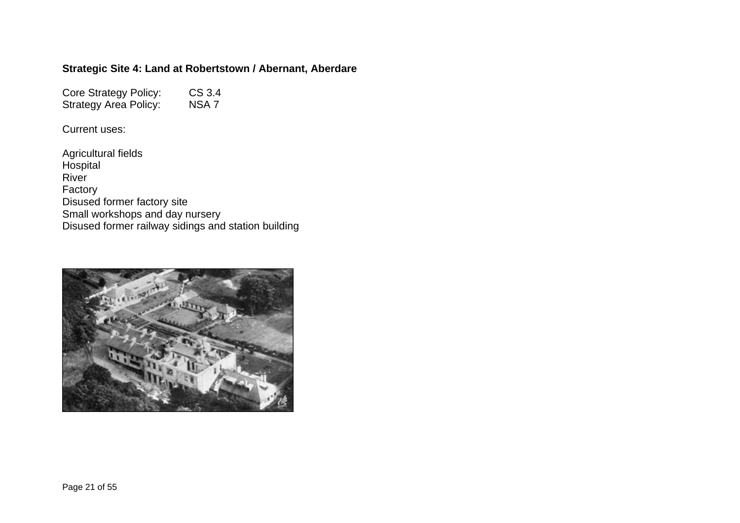### **Strategic Site 4: Land at Robertstown / Abernant, Aberdare**

Core Strategy Policy: CS 3.4<br>Strategy Area Policy: NSA 7 Strategy Area Policy:

Current uses:

Agricultural fields Hospital River Factory Disused former factory site Small workshops and day nursery Disused former railway sidings and station building

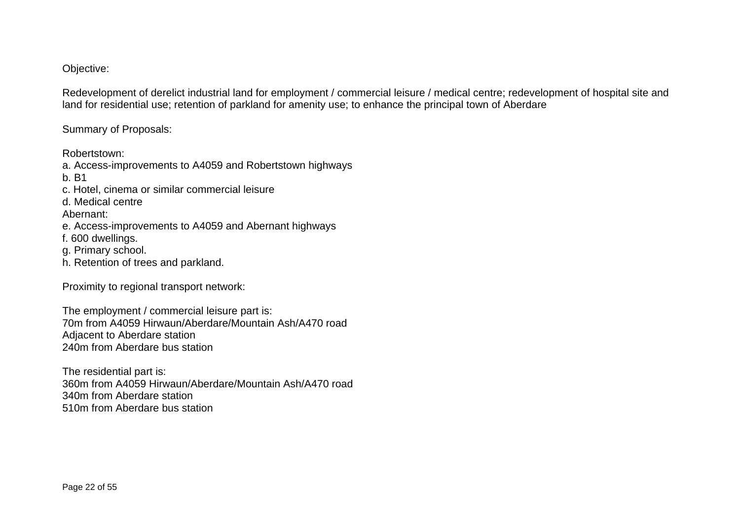#### Objective:

Redevelopment of derelict industrial land for employment / commercial leisure / medical centre; redevelopment of hospital site and land for residential use; retention of parkland for amenity use; to enhance the principal town of Aberdare

Summary of Proposals:

Robertstown:

a. Access-improvements to A4059 and Robertstown highways b. B1 c. Hotel, cinema or similar commercial leisure d. Medical centre Abernant: e. Access-improvements to A4059 and Abernant highways f. 600 dwellings. g. Primary school. h. Retention of trees and parkland.

Proximity to regional transport network:

The employment / commercial leisure part is: 70m from A4059 Hirwaun/Aberdare/Mountain Ash/A470 road Adjacent to Aberdare station 240m from Aberdare bus station

The residential part is: 360m from A4059 Hirwaun/Aberdare/Mountain Ash/A470 road 340m from Aberdare station 510m from Aberdare bus station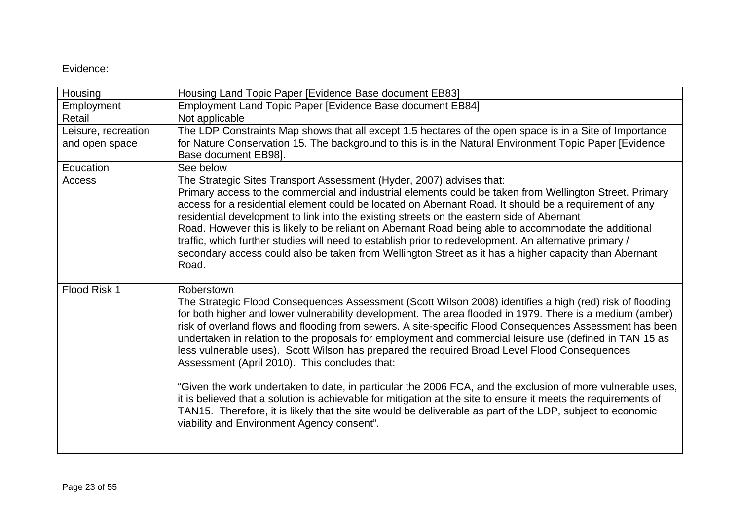#### Evidence:

| Housing             | Housing Land Topic Paper [Evidence Base document EB83]                                                                                                                                                                                                                                                                                                                                                                                                                                                                                                                                                                                                                                                                                                                                                                                                                                                                                                                                               |
|---------------------|------------------------------------------------------------------------------------------------------------------------------------------------------------------------------------------------------------------------------------------------------------------------------------------------------------------------------------------------------------------------------------------------------------------------------------------------------------------------------------------------------------------------------------------------------------------------------------------------------------------------------------------------------------------------------------------------------------------------------------------------------------------------------------------------------------------------------------------------------------------------------------------------------------------------------------------------------------------------------------------------------|
| Employment          | Employment Land Topic Paper [Evidence Base document EB84]                                                                                                                                                                                                                                                                                                                                                                                                                                                                                                                                                                                                                                                                                                                                                                                                                                                                                                                                            |
| Retail              | Not applicable                                                                                                                                                                                                                                                                                                                                                                                                                                                                                                                                                                                                                                                                                                                                                                                                                                                                                                                                                                                       |
| Leisure, recreation | The LDP Constraints Map shows that all except 1.5 hectares of the open space is in a Site of Importance                                                                                                                                                                                                                                                                                                                                                                                                                                                                                                                                                                                                                                                                                                                                                                                                                                                                                              |
| and open space      | for Nature Conservation 15. The background to this is in the Natural Environment Topic Paper [Evidence]                                                                                                                                                                                                                                                                                                                                                                                                                                                                                                                                                                                                                                                                                                                                                                                                                                                                                              |
|                     | Base document EB98].                                                                                                                                                                                                                                                                                                                                                                                                                                                                                                                                                                                                                                                                                                                                                                                                                                                                                                                                                                                 |
| Education           | See below                                                                                                                                                                                                                                                                                                                                                                                                                                                                                                                                                                                                                                                                                                                                                                                                                                                                                                                                                                                            |
| Access              | The Strategic Sites Transport Assessment (Hyder, 2007) advises that:                                                                                                                                                                                                                                                                                                                                                                                                                                                                                                                                                                                                                                                                                                                                                                                                                                                                                                                                 |
|                     | Primary access to the commercial and industrial elements could be taken from Wellington Street. Primary<br>access for a residential element could be located on Abernant Road. It should be a requirement of any<br>residential development to link into the existing streets on the eastern side of Abernant<br>Road. However this is likely to be reliant on Abernant Road being able to accommodate the additional<br>traffic, which further studies will need to establish prior to redevelopment. An alternative primary /<br>secondary access could also be taken from Wellington Street as it has a higher capacity than Abernant<br>Road.                                                                                                                                                                                                                                                                                                                                                    |
| Flood Risk 1        | Roberstown<br>The Strategic Flood Consequences Assessment (Scott Wilson 2008) identifies a high (red) risk of flooding<br>for both higher and lower vulnerability development. The area flooded in 1979. There is a medium (amber)<br>risk of overland flows and flooding from sewers. A site-specific Flood Consequences Assessment has been<br>undertaken in relation to the proposals for employment and commercial leisure use (defined in TAN 15 as<br>less vulnerable uses). Scott Wilson has prepared the required Broad Level Flood Consequences<br>Assessment (April 2010). This concludes that:<br>"Given the work undertaken to date, in particular the 2006 FCA, and the exclusion of more vulnerable uses,<br>it is believed that a solution is achievable for mitigation at the site to ensure it meets the requirements of<br>TAN15. Therefore, it is likely that the site would be deliverable as part of the LDP, subject to economic<br>viability and Environment Agency consent". |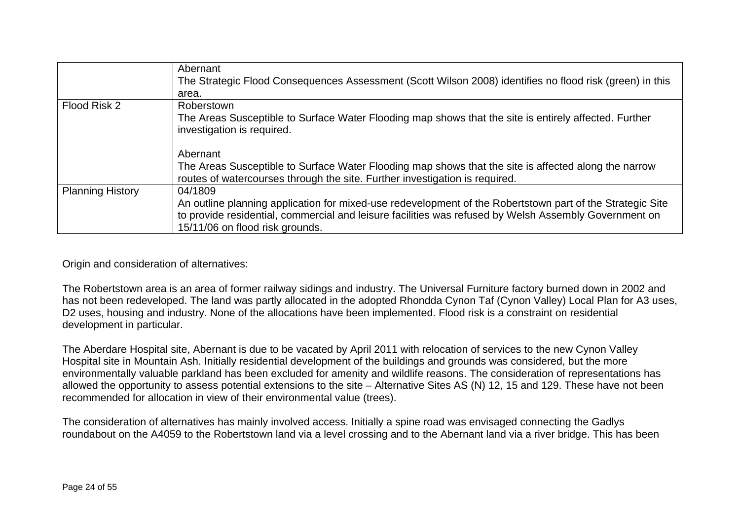|                         | Abernant<br>The Strategic Flood Consequences Assessment (Scott Wilson 2008) identifies no flood risk (green) in this                                                                |
|-------------------------|-------------------------------------------------------------------------------------------------------------------------------------------------------------------------------------|
|                         | area.                                                                                                                                                                               |
| Flood Risk 2            | Roberstown                                                                                                                                                                          |
|                         | The Areas Susceptible to Surface Water Flooding map shows that the site is entirely affected. Further<br>investigation is required.                                                 |
|                         | Abernant                                                                                                                                                                            |
|                         | The Areas Susceptible to Surface Water Flooding map shows that the site is affected along the narrow<br>routes of watercourses through the site. Further investigation is required. |
| <b>Planning History</b> | 04/1809                                                                                                                                                                             |
|                         | An outline planning application for mixed-use redevelopment of the Robertstown part of the Strategic Site                                                                           |
|                         | to provide residential, commercial and leisure facilities was refused by Welsh Assembly Government on                                                                               |
|                         | 15/11/06 on flood risk grounds.                                                                                                                                                     |

Origin and consideration of alternatives:

The Robertstown area is an area of former railway sidings and industry. The Universal Furniture factory burned down in 2002 and has not been redeveloped. The land was partly allocated in the adopted Rhondda Cynon Taf (Cynon Valley) Local Plan for A3 uses, D2 uses, housing and industry. None of the allocations have been implemented. Flood risk is a constraint on residential development in particular.

The Aberdare Hospital site, Abernant is due to be vacated by April 2011 with relocation of services to the new Cynon Valley Hospital site in Mountain Ash. Initially residential development of the buildings and grounds was considered, but the more environmentally valuable parkland has been excluded for amenity and wildlife reasons. The consideration of representations has allowed the opportunity to assess potential extensions to the site – Alternative Sites AS (N) 12, 15 and 129. These have not been recommended for allocation in view of their environmental value (trees).

The consideration of alternatives has mainly involved access. Initially a spine road was envisaged connecting the Gadlys roundabout on the A4059 to the Robertstown land via a level crossing and to the Abernant land via a river bridge. This has been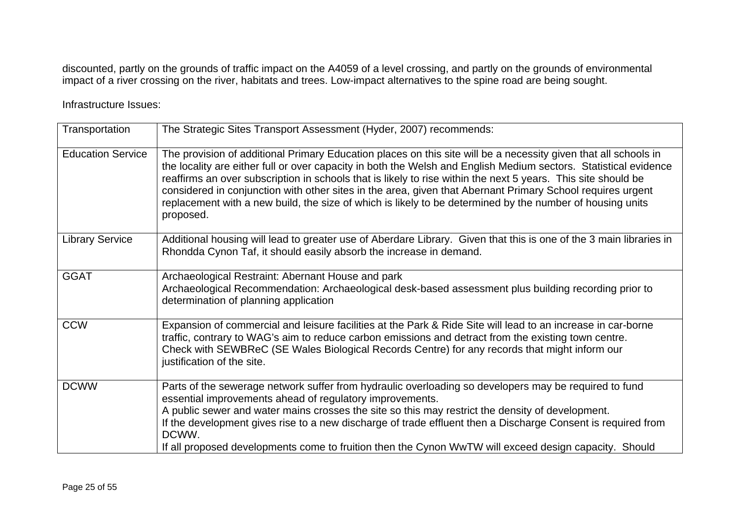discounted, partly on the grounds of traffic impact on the A4059 of a level crossing, and partly on the grounds of environmental impact of a river crossing on the river, habitats and trees. Low-impact alternatives to the spine road are being sought.

Infrastructure Issues:

| Transportation           | The Strategic Sites Transport Assessment (Hyder, 2007) recommends:                                                                                                                                                                                                                                                                                                                                                                                                                                                                                                                           |
|--------------------------|----------------------------------------------------------------------------------------------------------------------------------------------------------------------------------------------------------------------------------------------------------------------------------------------------------------------------------------------------------------------------------------------------------------------------------------------------------------------------------------------------------------------------------------------------------------------------------------------|
| <b>Education Service</b> | The provision of additional Primary Education places on this site will be a necessity given that all schools in<br>the locality are either full or over capacity in both the Welsh and English Medium sectors. Statistical evidence<br>reaffirms an over subscription in schools that is likely to rise within the next 5 years. This site should be<br>considered in conjunction with other sites in the area, given that Abernant Primary School requires urgent<br>replacement with a new build, the size of which is likely to be determined by the number of housing units<br>proposed. |
| <b>Library Service</b>   | Additional housing will lead to greater use of Aberdare Library. Given that this is one of the 3 main libraries in<br>Rhondda Cynon Taf, it should easily absorb the increase in demand.                                                                                                                                                                                                                                                                                                                                                                                                     |
| <b>GGAT</b>              | Archaeological Restraint: Abernant House and park<br>Archaeological Recommendation: Archaeological desk-based assessment plus building recording prior to<br>determination of planning application                                                                                                                                                                                                                                                                                                                                                                                           |
| <b>CCW</b>               | Expansion of commercial and leisure facilities at the Park & Ride Site will lead to an increase in car-borne<br>traffic, contrary to WAG's aim to reduce carbon emissions and detract from the existing town centre.<br>Check with SEWBReC (SE Wales Biological Records Centre) for any records that might inform our<br>justification of the site.                                                                                                                                                                                                                                          |
| <b>DCWW</b>              | Parts of the sewerage network suffer from hydraulic overloading so developers may be required to fund<br>essential improvements ahead of regulatory improvements.<br>A public sewer and water mains crosses the site so this may restrict the density of development.<br>If the development gives rise to a new discharge of trade effluent then a Discharge Consent is required from<br>DCWW.<br>If all proposed developments come to fruition then the Cynon WwTW will exceed design capacity. Should                                                                                      |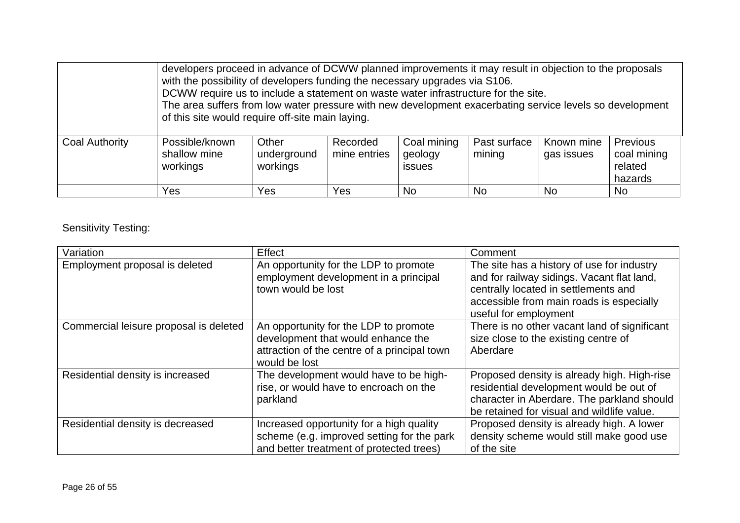|                | developers proceed in advance of DCWW planned improvements it may result in objection to the proposals<br>with the possibility of developers funding the necessary upgrades via S106.<br>DCWW require us to include a statement on waste water infrastructure for the site.<br>The area suffers from low water pressure with new development exacerbating service levels so development<br>of this site would require off-site main laying. |                                  |                          |                                         |                        |                          |                                                      |
|----------------|---------------------------------------------------------------------------------------------------------------------------------------------------------------------------------------------------------------------------------------------------------------------------------------------------------------------------------------------------------------------------------------------------------------------------------------------|----------------------------------|--------------------------|-----------------------------------------|------------------------|--------------------------|------------------------------------------------------|
| Coal Authority | Possible/known<br>shallow mine<br>workings                                                                                                                                                                                                                                                                                                                                                                                                  | Other<br>underground<br>workings | Recorded<br>mine entries | Coal mining<br>geology<br><i>issues</i> | Past surface<br>mining | Known mine<br>gas issues | <b>Previous</b><br>coal mining<br>related<br>hazards |
|                | Yes                                                                                                                                                                                                                                                                                                                                                                                                                                         | Yes                              | Yes                      | N <sub>o</sub>                          | <b>No</b>              | <b>No</b>                | <b>No</b>                                            |

Sensitivity Testing:

| Variation                              | Effect                                                                                                                                       | Comment                                                                                                                                                                                               |
|----------------------------------------|----------------------------------------------------------------------------------------------------------------------------------------------|-------------------------------------------------------------------------------------------------------------------------------------------------------------------------------------------------------|
| Employment proposal is deleted         | An opportunity for the LDP to promote<br>employment development in a principal<br>town would be lost                                         | The site has a history of use for industry<br>and for railway sidings. Vacant flat land,<br>centrally located in settlements and<br>accessible from main roads is especially<br>useful for employment |
| Commercial leisure proposal is deleted | An opportunity for the LDP to promote<br>development that would enhance the<br>attraction of the centre of a principal town<br>would be lost | There is no other vacant land of significant<br>size close to the existing centre of<br>Aberdare                                                                                                      |
| Residential density is increased       | The development would have to be high-<br>rise, or would have to encroach on the<br>parkland                                                 | Proposed density is already high. High-rise<br>residential development would be out of<br>character in Aberdare. The parkland should<br>be retained for visual and wildlife value.                    |
| Residential density is decreased       | Increased opportunity for a high quality<br>scheme (e.g. improved setting for the park<br>and better treatment of protected trees)           | Proposed density is already high. A lower<br>density scheme would still make good use<br>of the site                                                                                                  |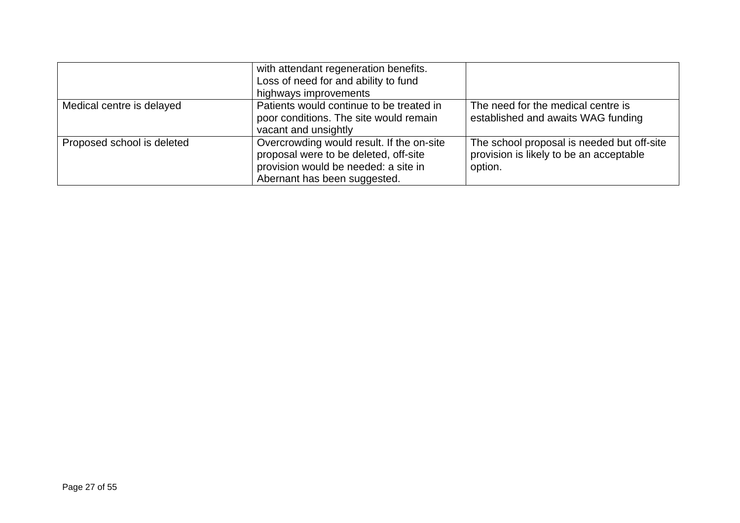|                            | with attendant regeneration benefits.<br>Loss of need for and ability to fund<br>highways improvements                                                     |                                                                                                  |
|----------------------------|------------------------------------------------------------------------------------------------------------------------------------------------------------|--------------------------------------------------------------------------------------------------|
| Medical centre is delayed  | Patients would continue to be treated in<br>poor conditions. The site would remain<br>vacant and unsightly                                                 | The need for the medical centre is<br>established and awaits WAG funding                         |
| Proposed school is deleted | Overcrowding would result. If the on-site<br>proposal were to be deleted, off-site<br>provision would be needed: a site in<br>Abernant has been suggested. | The school proposal is needed but off-site<br>provision is likely to be an acceptable<br>option. |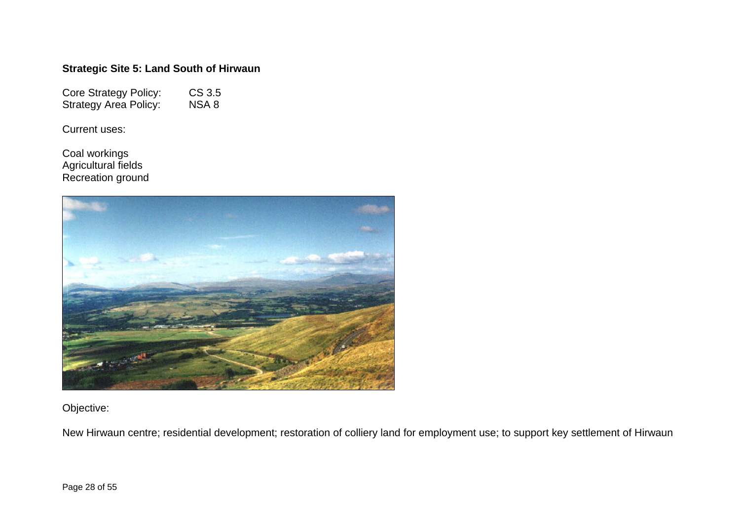## **Strategic Site 5: Land South of Hirwaun**

Core Strategy Policy: CS 3.5<br>Strategy Area Policy: NSA 8 Strategy Area Policy:

Current uses:

Coal workings Agricultural fields Recreation ground



Objective:

New Hirwaun centre; residential development; restoration of colliery land for employment use; to support key settlement of Hirwaun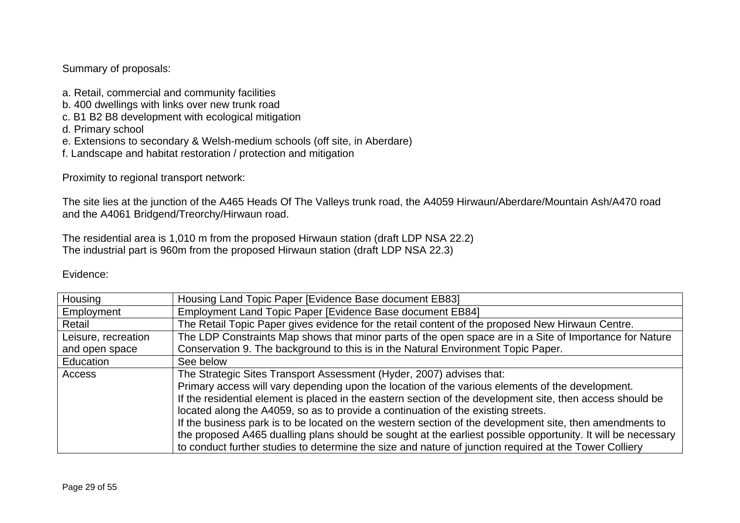### Summary of proposals:

- a. Retail, commercial and community facilities
- b. 400 dwellings with links over new trunk road
- c. B1 B2 B8 development with ecological mitigation
- d. Primary school
- e. Extensions to secondary & Welsh-medium schools (off site, in Aberdare)
- f. Landscape and habitat restoration / protection and mitigation

Proximity to regional transport network:

The site lies at the junction of the A465 Heads Of The Valleys trunk road, the A4059 Hirwaun/Aberdare/Mountain Ash/A470 road and the A4061 Bridgend/Treorchy/Hirwaun road.

The residential area is 1,010 m from the proposed Hirwaun station (draft LDP NSA 22.2) The industrial part is 960m from the proposed Hirwaun station (draft LDP NSA 22.3)

#### Evidence:

| Housing             | Housing Land Topic Paper [Evidence Base document EB83]                                                       |
|---------------------|--------------------------------------------------------------------------------------------------------------|
| Employment          | Employment Land Topic Paper [Evidence Base document EB84]                                                    |
| Retail              | The Retail Topic Paper gives evidence for the retail content of the proposed New Hirwaun Centre.             |
| Leisure, recreation | The LDP Constraints Map shows that minor parts of the open space are in a Site of Importance for Nature      |
| and open space      | Conservation 9. The background to this is in the Natural Environment Topic Paper.                            |
| Education           | See below                                                                                                    |
| Access              | The Strategic Sites Transport Assessment (Hyder, 2007) advises that:                                         |
|                     | Primary access will vary depending upon the location of the various elements of the development.             |
|                     | If the residential element is placed in the eastern section of the development site, then access should be   |
|                     | located along the A4059, so as to provide a continuation of the existing streets.                            |
|                     | If the business park is to be located on the western section of the development site, then amendments to     |
|                     | the proposed A465 dualling plans should be sought at the earliest possible opportunity. It will be necessary |
|                     | to conduct further studies to determine the size and nature of junction required at the Tower Colliery       |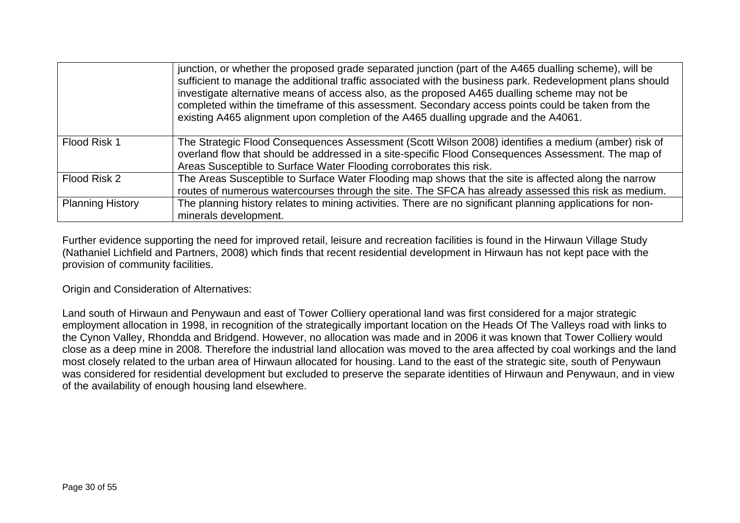|                         | junction, or whether the proposed grade separated junction (part of the A465 dualling scheme), will be<br>sufficient to manage the additional traffic associated with the business park. Redevelopment plans should<br>investigate alternative means of access also, as the proposed A465 dualling scheme may not be<br>completed within the timeframe of this assessment. Secondary access points could be taken from the<br>existing A465 alignment upon completion of the A465 dualling upgrade and the A4061. |
|-------------------------|-------------------------------------------------------------------------------------------------------------------------------------------------------------------------------------------------------------------------------------------------------------------------------------------------------------------------------------------------------------------------------------------------------------------------------------------------------------------------------------------------------------------|
| Flood Risk 1            | The Strategic Flood Consequences Assessment (Scott Wilson 2008) identifies a medium (amber) risk of<br>overland flow that should be addressed in a site-specific Flood Consequences Assessment. The map of                                                                                                                                                                                                                                                                                                        |
|                         | Areas Susceptible to Surface Water Flooding corroborates this risk.                                                                                                                                                                                                                                                                                                                                                                                                                                               |
| Flood Risk 2            | The Areas Susceptible to Surface Water Flooding map shows that the site is affected along the narrow                                                                                                                                                                                                                                                                                                                                                                                                              |
|                         | routes of numerous watercourses through the site. The SFCA has already assessed this risk as medium.                                                                                                                                                                                                                                                                                                                                                                                                              |
| <b>Planning History</b> | The planning history relates to mining activities. There are no significant planning applications for non-                                                                                                                                                                                                                                                                                                                                                                                                        |
|                         | minerals development.                                                                                                                                                                                                                                                                                                                                                                                                                                                                                             |

Further evidence supporting the need for improved retail, leisure and recreation facilities is found in the Hirwaun Village Study (Nathaniel Lichfield and Partners, 2008) which finds that recent residential development in Hirwaun has not kept pace with the provision of community facilities.

Origin and Consideration of Alternatives:

Land south of Hirwaun and Penywaun and east of Tower Colliery operational land was first considered for a major strategic employment allocation in 1998, in recognition of the strategically important location on the Heads Of The Valleys road with links to the Cynon Valley, Rhondda and Bridgend. However, no allocation was made and in 2006 it was known that Tower Colliery would close as a deep mine in 2008. Therefore the industrial land allocation was moved to the area affected by coal workings and the land most closely related to the urban area of Hirwaun allocated for housing. Land to the east of the strategic site, south of Penywaun was considered for residential development but excluded to preserve the separate identities of Hirwaun and Penywaun, and in view of the availability of enough housing land elsewhere.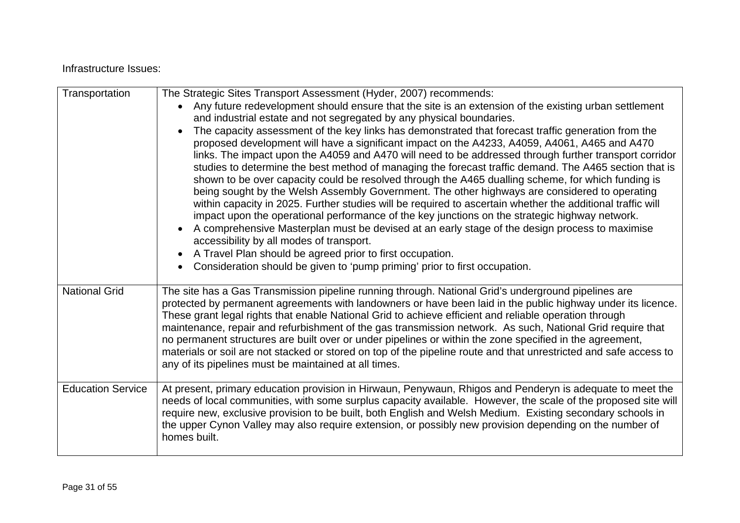#### Infrastructure Issues:

| Transportation           | The Strategic Sites Transport Assessment (Hyder, 2007) recommends:<br>Any future redevelopment should ensure that the site is an extension of the existing urban settlement<br>and industrial estate and not segregated by any physical boundaries.<br>The capacity assessment of the key links has demonstrated that forecast traffic generation from the<br>$\bullet$<br>proposed development will have a significant impact on the A4233, A4059, A4061, A465 and A470<br>links. The impact upon the A4059 and A470 will need to be addressed through further transport corridor<br>studies to determine the best method of managing the forecast traffic demand. The A465 section that is<br>shown to be over capacity could be resolved through the A465 dualling scheme, for which funding is<br>being sought by the Welsh Assembly Government. The other highways are considered to operating<br>within capacity in 2025. Further studies will be required to ascertain whether the additional traffic will<br>impact upon the operational performance of the key junctions on the strategic highway network.<br>A comprehensive Masterplan must be devised at an early stage of the design process to maximise<br>accessibility by all modes of transport.<br>A Travel Plan should be agreed prior to first occupation.<br>$\bullet$<br>Consideration should be given to 'pump priming' prior to first occupation. |
|--------------------------|---------------------------------------------------------------------------------------------------------------------------------------------------------------------------------------------------------------------------------------------------------------------------------------------------------------------------------------------------------------------------------------------------------------------------------------------------------------------------------------------------------------------------------------------------------------------------------------------------------------------------------------------------------------------------------------------------------------------------------------------------------------------------------------------------------------------------------------------------------------------------------------------------------------------------------------------------------------------------------------------------------------------------------------------------------------------------------------------------------------------------------------------------------------------------------------------------------------------------------------------------------------------------------------------------------------------------------------------------------------------------------------------------------------------------|
| <b>National Grid</b>     | The site has a Gas Transmission pipeline running through. National Grid's underground pipelines are<br>protected by permanent agreements with landowners or have been laid in the public highway under its licence.<br>These grant legal rights that enable National Grid to achieve efficient and reliable operation through<br>maintenance, repair and refurbishment of the gas transmission network. As such, National Grid require that<br>no permanent structures are built over or under pipelines or within the zone specified in the agreement,<br>materials or soil are not stacked or stored on top of the pipeline route and that unrestricted and safe access to<br>any of its pipelines must be maintained at all times.                                                                                                                                                                                                                                                                                                                                                                                                                                                                                                                                                                                                                                                                                     |
| <b>Education Service</b> | At present, primary education provision in Hirwaun, Penywaun, Rhigos and Penderyn is adequate to meet the<br>needs of local communities, with some surplus capacity available. However, the scale of the proposed site will<br>require new, exclusive provision to be built, both English and Welsh Medium. Existing secondary schools in<br>the upper Cynon Valley may also require extension, or possibly new provision depending on the number of<br>homes built.                                                                                                                                                                                                                                                                                                                                                                                                                                                                                                                                                                                                                                                                                                                                                                                                                                                                                                                                                      |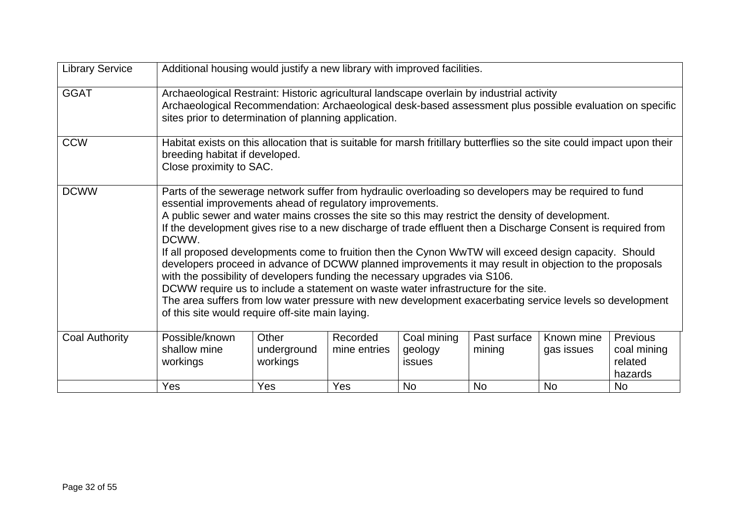| <b>Library Service</b> | Additional housing would justify a new library with improved facilities.                                                                                                                                                                                                                                                                                                                                                                                                                                                                                                                                                                                                                                                                                                                                                                                                                                                                               |                                  |                          |                                  |                        |                          |                                               |
|------------------------|--------------------------------------------------------------------------------------------------------------------------------------------------------------------------------------------------------------------------------------------------------------------------------------------------------------------------------------------------------------------------------------------------------------------------------------------------------------------------------------------------------------------------------------------------------------------------------------------------------------------------------------------------------------------------------------------------------------------------------------------------------------------------------------------------------------------------------------------------------------------------------------------------------------------------------------------------------|----------------------------------|--------------------------|----------------------------------|------------------------|--------------------------|-----------------------------------------------|
| <b>GGAT</b>            | Archaeological Restraint: Historic agricultural landscape overlain by industrial activity<br>Archaeological Recommendation: Archaeological desk-based assessment plus possible evaluation on specific<br>sites prior to determination of planning application.                                                                                                                                                                                                                                                                                                                                                                                                                                                                                                                                                                                                                                                                                         |                                  |                          |                                  |                        |                          |                                               |
| <b>CCW</b>             | Habitat exists on this allocation that is suitable for marsh fritillary butterflies so the site could impact upon their<br>breeding habitat if developed.<br>Close proximity to SAC.                                                                                                                                                                                                                                                                                                                                                                                                                                                                                                                                                                                                                                                                                                                                                                   |                                  |                          |                                  |                        |                          |                                               |
| <b>DCWW</b>            | Parts of the sewerage network suffer from hydraulic overloading so developers may be required to fund<br>essential improvements ahead of regulatory improvements.<br>A public sewer and water mains crosses the site so this may restrict the density of development.<br>If the development gives rise to a new discharge of trade effluent then a Discharge Consent is required from<br>DCWW.<br>If all proposed developments come to fruition then the Cynon WwTW will exceed design capacity. Should<br>developers proceed in advance of DCWW planned improvements it may result in objection to the proposals<br>with the possibility of developers funding the necessary upgrades via S106.<br>DCWW require us to include a statement on waste water infrastructure for the site.<br>The area suffers from low water pressure with new development exacerbating service levels so development<br>of this site would require off-site main laying. |                                  |                          |                                  |                        |                          |                                               |
| <b>Coal Authority</b>  | Possible/known<br>shallow mine<br>workings                                                                                                                                                                                                                                                                                                                                                                                                                                                                                                                                                                                                                                                                                                                                                                                                                                                                                                             | Other<br>underground<br>workings | Recorded<br>mine entries | Coal mining<br>geology<br>issues | Past surface<br>mining | Known mine<br>gas issues | Previous<br>coal mining<br>related<br>hazards |
|                        | Yes                                                                                                                                                                                                                                                                                                                                                                                                                                                                                                                                                                                                                                                                                                                                                                                                                                                                                                                                                    | Yes                              | Yes                      | <b>No</b>                        | <b>No</b>              | <b>No</b>                | <b>No</b>                                     |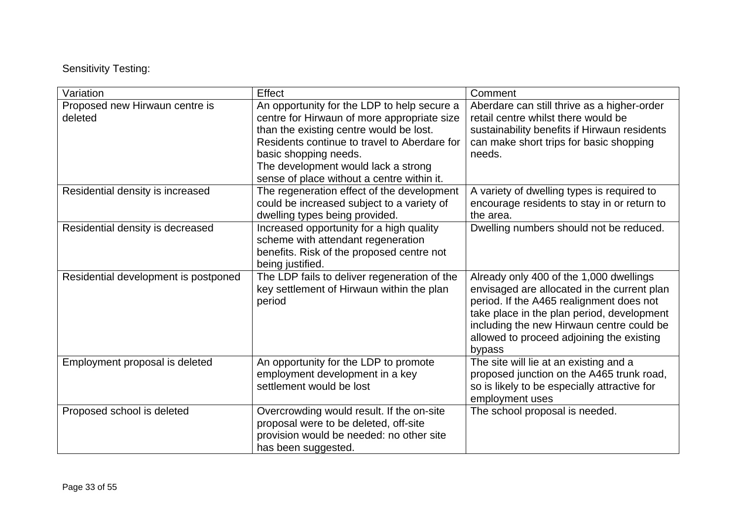Sensitivity Testing:

| Variation                                 | Effect                                                                                                                                                                                                                                                                                              | Comment                                                                                                                                                                                                                                                                              |
|-------------------------------------------|-----------------------------------------------------------------------------------------------------------------------------------------------------------------------------------------------------------------------------------------------------------------------------------------------------|--------------------------------------------------------------------------------------------------------------------------------------------------------------------------------------------------------------------------------------------------------------------------------------|
| Proposed new Hirwaun centre is<br>deleted | An opportunity for the LDP to help secure a<br>centre for Hirwaun of more appropriate size<br>than the existing centre would be lost.<br>Residents continue to travel to Aberdare for<br>basic shopping needs.<br>The development would lack a strong<br>sense of place without a centre within it. | Aberdare can still thrive as a higher-order<br>retail centre whilst there would be<br>sustainability benefits if Hirwaun residents<br>can make short trips for basic shopping<br>needs.                                                                                              |
| Residential density is increased          | The regeneration effect of the development<br>could be increased subject to a variety of<br>dwelling types being provided.                                                                                                                                                                          | A variety of dwelling types is required to<br>encourage residents to stay in or return to<br>the area.                                                                                                                                                                               |
| Residential density is decreased          | Increased opportunity for a high quality<br>scheme with attendant regeneration<br>benefits. Risk of the proposed centre not<br>being justified.                                                                                                                                                     | Dwelling numbers should not be reduced.                                                                                                                                                                                                                                              |
| Residential development is postponed      | The LDP fails to deliver regeneration of the<br>key settlement of Hirwaun within the plan<br>period                                                                                                                                                                                                 | Already only 400 of the 1,000 dwellings<br>envisaged are allocated in the current plan<br>period. If the A465 realignment does not<br>take place in the plan period, development<br>including the new Hirwaun centre could be<br>allowed to proceed adjoining the existing<br>bypass |
| Employment proposal is deleted            | An opportunity for the LDP to promote<br>employment development in a key<br>settlement would be lost                                                                                                                                                                                                | The site will lie at an existing and a<br>proposed junction on the A465 trunk road,<br>so is likely to be especially attractive for<br>employment uses                                                                                                                               |
| Proposed school is deleted                | Overcrowding would result. If the on-site<br>proposal were to be deleted, off-site<br>provision would be needed: no other site<br>has been suggested.                                                                                                                                               | The school proposal is needed.                                                                                                                                                                                                                                                       |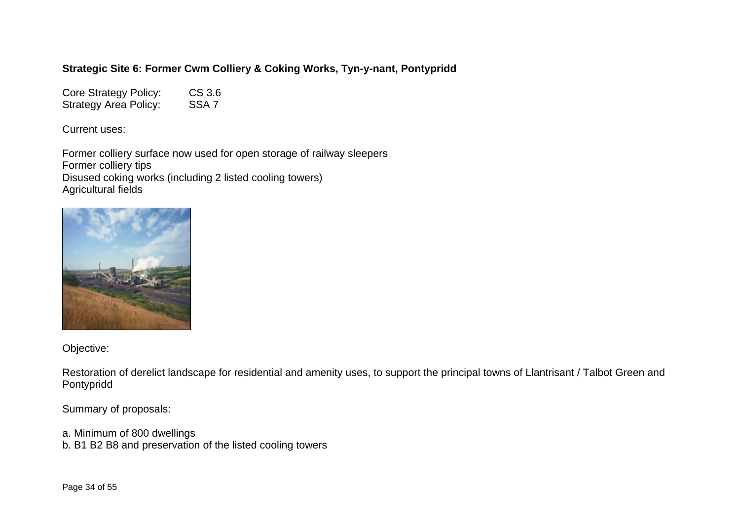## **Strategic Site 6: Former Cwm Colliery & Coking Works, Tyn-y-nant, Pontypridd**

Core Strategy Policy: CS 3.6 Strategy Area Policy: SSA 7

Current uses:

Former colliery surface now used for open storage of railway sleepers Former colliery tips Disused coking works (including 2 listed cooling towers) Agricultural fields



Objective:

Restoration of derelict landscape for residential and amenity uses, to support the principal towns of Llantrisant / Talbot Green and Pontypridd

Summary of proposals:

a. Minimum of 800 dwellings b. B1 B2 B8 and preservation of the listed cooling towers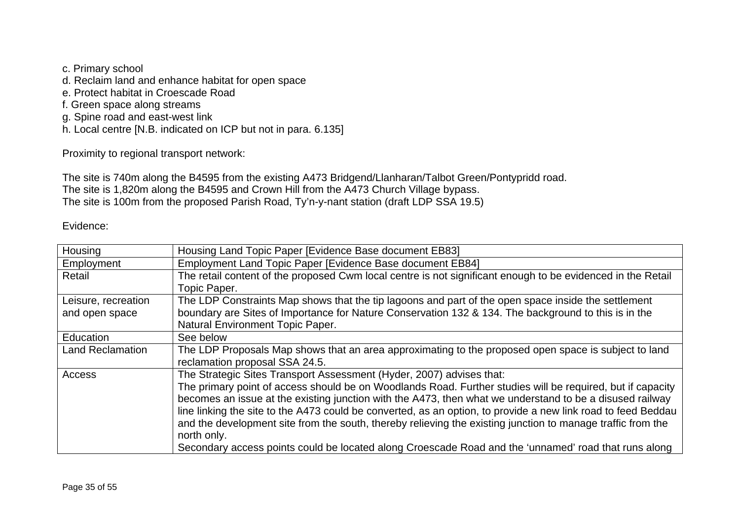- c. Primary school
- d. Reclaim land and enhance habitat for open space
- e. Protect habitat in Croescade Road
- f. Green space along streams
- g. Spine road and east-west link
- h. Local centre [N.B. indicated on ICP but not in para. 6.135]

Proximity to regional transport network:

The site is 740m along the B4595 from the existing A473 Bridgend/Llanharan/Talbot Green/Pontypridd road. The site is 1,820m along the B4595 and Crown Hill from the A473 Church Village bypass. The site is 100m from the proposed Parish Road, Ty'n-y-nant station (draft LDP SSA 19.5)

#### Evidence:

| Housing                 | Housing Land Topic Paper [Evidence Base document EB83]                                                        |
|-------------------------|---------------------------------------------------------------------------------------------------------------|
| Employment              | Employment Land Topic Paper [Evidence Base document EB84]                                                     |
| Retail                  | The retail content of the proposed Cwm local centre is not significant enough to be evidenced in the Retail   |
|                         | Topic Paper.                                                                                                  |
| Leisure, recreation     | The LDP Constraints Map shows that the tip lagoons and part of the open space inside the settlement           |
| and open space          | boundary are Sites of Importance for Nature Conservation 132 & 134. The background to this is in the          |
|                         | Natural Environment Topic Paper.                                                                              |
| Education               | See below                                                                                                     |
| <b>Land Reclamation</b> | The LDP Proposals Map shows that an area approximating to the proposed open space is subject to land          |
|                         | reclamation proposal SSA 24.5.                                                                                |
| Access                  | The Strategic Sites Transport Assessment (Hyder, 2007) advises that:                                          |
|                         | The primary point of access should be on Woodlands Road. Further studies will be required, but if capacity    |
|                         | becomes an issue at the existing junction with the A473, then what we understand to be a disused railway      |
|                         | line linking the site to the A473 could be converted, as an option, to provide a new link road to feed Beddau |
|                         | and the development site from the south, thereby relieving the existing junction to manage traffic from the   |
|                         | north only.                                                                                                   |
|                         | Secondary access points could be located along Croescade Road and the 'unnamed' road that runs along          |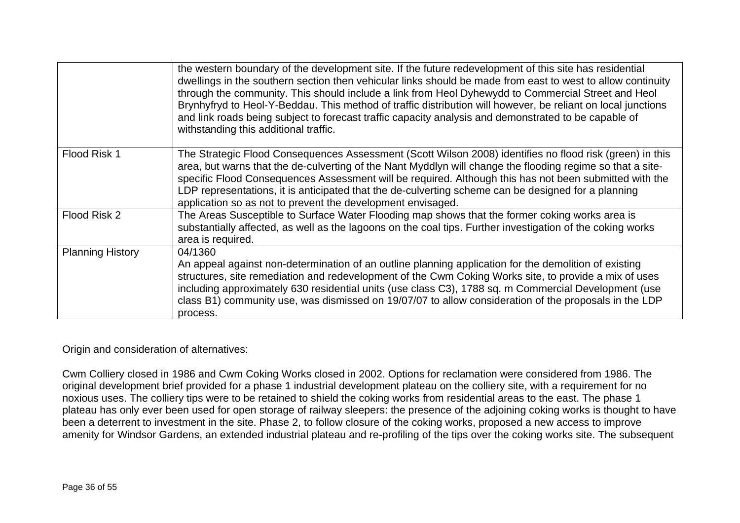|                         | the western boundary of the development site. If the future redevelopment of this site has residential<br>dwellings in the southern section then vehicular links should be made from east to west to allow continuity<br>through the community. This should include a link from Heol Dyhewydd to Commercial Street and Heol<br>Brynhyfryd to Heol-Y-Beddau. This method of traffic distribution will however, be reliant on local junctions<br>and link roads being subject to forecast traffic capacity analysis and demonstrated to be capable of<br>withstanding this additional traffic. |
|-------------------------|----------------------------------------------------------------------------------------------------------------------------------------------------------------------------------------------------------------------------------------------------------------------------------------------------------------------------------------------------------------------------------------------------------------------------------------------------------------------------------------------------------------------------------------------------------------------------------------------|
| Flood Risk 1            | The Strategic Flood Consequences Assessment (Scott Wilson 2008) identifies no flood risk (green) in this<br>area, but warns that the de-culverting of the Nant Myddlyn will change the flooding regime so that a site-<br>specific Flood Consequences Assessment will be required. Although this has not been submitted with the<br>LDP representations, it is anticipated that the de-culverting scheme can be designed for a planning<br>application so as not to prevent the development envisaged.                                                                                       |
| Flood Risk 2            | The Areas Susceptible to Surface Water Flooding map shows that the former coking works area is<br>substantially affected, as well as the lagoons on the coal tips. Further investigation of the coking works<br>area is required.                                                                                                                                                                                                                                                                                                                                                            |
| <b>Planning History</b> | 04/1360<br>An appeal against non-determination of an outline planning application for the demolition of existing<br>structures, site remediation and redevelopment of the Cwm Coking Works site, to provide a mix of uses<br>including approximately 630 residential units (use class C3), 1788 sq. m Commercial Development (use<br>class B1) community use, was dismissed on 19/07/07 to allow consideration of the proposals in the LDP<br>process.                                                                                                                                       |

### Origin and consideration of alternatives:

Cwm Colliery closed in 1986 and Cwm Coking Works closed in 2002. Options for reclamation were considered from 1986. The original development brief provided for a phase 1 industrial development plateau on the colliery site, with a requirement for no noxious uses. The colliery tips were to be retained to shield the coking works from residential areas to the east. The phase 1 plateau has only ever been used for open storage of railway sleepers: the presence of the adjoining coking works is thought to have been a deterrent to investment in the site. Phase 2, to follow closure of the coking works, proposed a new access to improve amenity for Windsor Gardens, an extended industrial plateau and re-profiling of the tips over the coking works site. The subsequent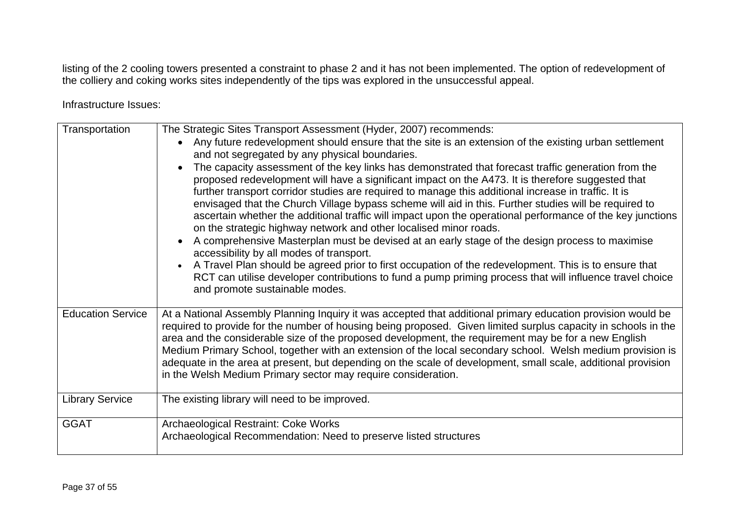listing of the 2 cooling towers presented a constraint to phase 2 and it has not been implemented. The option of redevelopment of the colliery and coking works sites independently of the tips was explored in the unsuccessful appeal.

Infrastructure Issues:

| Transportation           | The Strategic Sites Transport Assessment (Hyder, 2007) recommends:<br>Any future redevelopment should ensure that the site is an extension of the existing urban settlement<br>and not segregated by any physical boundaries.<br>The capacity assessment of the key links has demonstrated that forecast traffic generation from the<br>proposed redevelopment will have a significant impact on the A473. It is therefore suggested that<br>further transport corridor studies are required to manage this additional increase in traffic. It is<br>envisaged that the Church Village bypass scheme will aid in this. Further studies will be required to<br>ascertain whether the additional traffic will impact upon the operational performance of the key junctions<br>on the strategic highway network and other localised minor roads.<br>A comprehensive Masterplan must be devised at an early stage of the design process to maximise<br>accessibility by all modes of transport.<br>A Travel Plan should be agreed prior to first occupation of the redevelopment. This is to ensure that<br>RCT can utilise developer contributions to fund a pump priming process that will influence travel choice<br>and promote sustainable modes. |
|--------------------------|----------------------------------------------------------------------------------------------------------------------------------------------------------------------------------------------------------------------------------------------------------------------------------------------------------------------------------------------------------------------------------------------------------------------------------------------------------------------------------------------------------------------------------------------------------------------------------------------------------------------------------------------------------------------------------------------------------------------------------------------------------------------------------------------------------------------------------------------------------------------------------------------------------------------------------------------------------------------------------------------------------------------------------------------------------------------------------------------------------------------------------------------------------------------------------------------------------------------------------------------------|
| <b>Education Service</b> | At a National Assembly Planning Inquiry it was accepted that additional primary education provision would be<br>required to provide for the number of housing being proposed. Given limited surplus capacity in schools in the<br>area and the considerable size of the proposed development, the requirement may be for a new English<br>Medium Primary School, together with an extension of the local secondary school. Welsh medium provision is<br>adequate in the area at present, but depending on the scale of development, small scale, additional provision<br>in the Welsh Medium Primary sector may require consideration.                                                                                                                                                                                                                                                                                                                                                                                                                                                                                                                                                                                                             |
| <b>Library Service</b>   | The existing library will need to be improved.                                                                                                                                                                                                                                                                                                                                                                                                                                                                                                                                                                                                                                                                                                                                                                                                                                                                                                                                                                                                                                                                                                                                                                                                     |
| <b>GGAT</b>              | Archaeological Restraint: Coke Works<br>Archaeological Recommendation: Need to preserve listed structures                                                                                                                                                                                                                                                                                                                                                                                                                                                                                                                                                                                                                                                                                                                                                                                                                                                                                                                                                                                                                                                                                                                                          |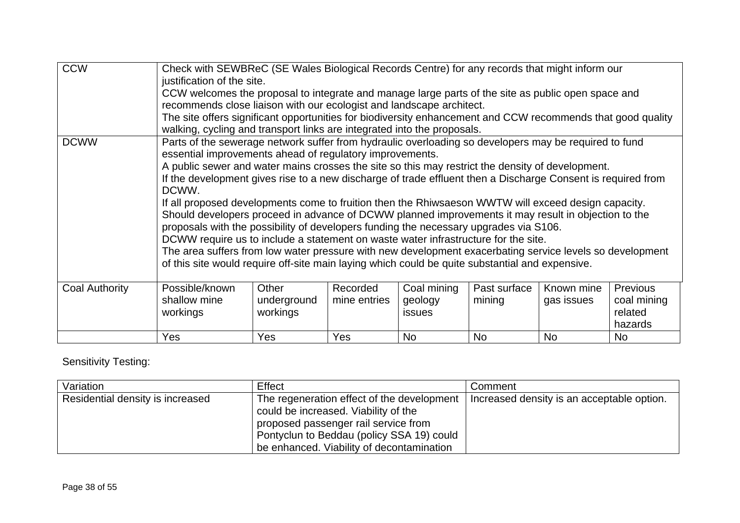| <b>CCW</b>     | Check with SEWBReC (SE Wales Biological Records Centre) for any records that might inform our<br>justification of the site.<br>CCW welcomes the proposal to integrate and manage large parts of the site as public open space and                                                                                                                                                                                                                                                                                                                                                                                                                                                                                                                                                                                                                                                                                                                                                                          |                                  |                          |                                         |                        |                          |                                                      |
|----------------|------------------------------------------------------------------------------------------------------------------------------------------------------------------------------------------------------------------------------------------------------------------------------------------------------------------------------------------------------------------------------------------------------------------------------------------------------------------------------------------------------------------------------------------------------------------------------------------------------------------------------------------------------------------------------------------------------------------------------------------------------------------------------------------------------------------------------------------------------------------------------------------------------------------------------------------------------------------------------------------------------------|----------------------------------|--------------------------|-----------------------------------------|------------------------|--------------------------|------------------------------------------------------|
|                | recommends close liaison with our ecologist and landscape architect.<br>The site offers significant opportunities for biodiversity enhancement and CCW recommends that good quality<br>walking, cycling and transport links are integrated into the proposals.                                                                                                                                                                                                                                                                                                                                                                                                                                                                                                                                                                                                                                                                                                                                             |                                  |                          |                                         |                        |                          |                                                      |
| <b>DCWW</b>    | Parts of the sewerage network suffer from hydraulic overloading so developers may be required to fund<br>essential improvements ahead of regulatory improvements.<br>A public sewer and water mains crosses the site so this may restrict the density of development.<br>If the development gives rise to a new discharge of trade effluent then a Discharge Consent is required from<br>DCWW.<br>If all proposed developments come to fruition then the Rhiwsaeson WWTW will exceed design capacity.<br>Should developers proceed in advance of DCWW planned improvements it may result in objection to the<br>proposals with the possibility of developers funding the necessary upgrades via S106.<br>DCWW require us to include a statement on waste water infrastructure for the site.<br>The area suffers from low water pressure with new development exacerbating service levels so development<br>of this site would require off-site main laying which could be quite substantial and expensive. |                                  |                          |                                         |                        |                          |                                                      |
| Coal Authority | Possible/known<br>shallow mine<br>workings                                                                                                                                                                                                                                                                                                                                                                                                                                                                                                                                                                                                                                                                                                                                                                                                                                                                                                                                                                 | Other<br>underground<br>workings | Recorded<br>mine entries | Coal mining<br>geology<br><b>issues</b> | Past surface<br>mining | Known mine<br>gas issues | <b>Previous</b><br>coal mining<br>related<br>hazards |
|                | Yes                                                                                                                                                                                                                                                                                                                                                                                                                                                                                                                                                                                                                                                                                                                                                                                                                                                                                                                                                                                                        | Yes                              | Yes                      | No.                                     | <b>No</b>              | <b>No</b>                | No                                                   |

# Sensitivity Testing:

| Variation                        | Effect                                                                                                                                                                                                               | Comment                                    |
|----------------------------------|----------------------------------------------------------------------------------------------------------------------------------------------------------------------------------------------------------------------|--------------------------------------------|
| Residential density is increased | The regeneration effect of the development<br>could be increased. Viability of the<br>proposed passenger rail service from<br>Pontyclun to Beddau (policy SSA 19) could<br>be enhanced. Viability of decontamination | Increased density is an acceptable option. |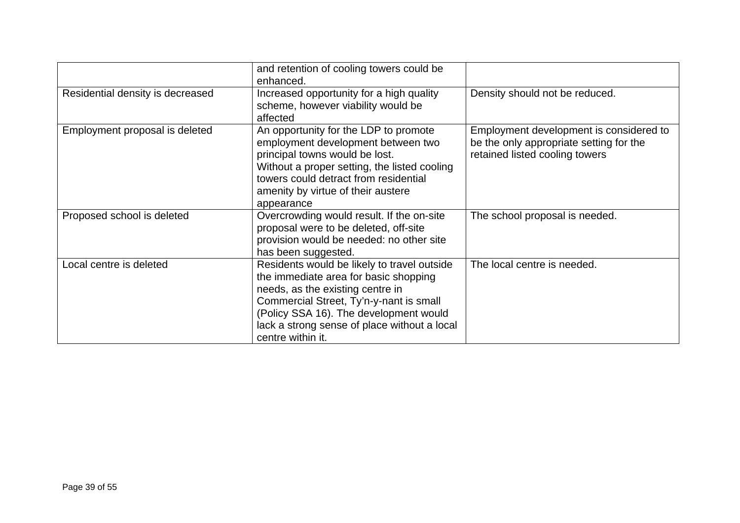|                                  | and retention of cooling towers could be<br>enhanced.                                                                                                                                                                                                                              |                                                                                                                      |
|----------------------------------|------------------------------------------------------------------------------------------------------------------------------------------------------------------------------------------------------------------------------------------------------------------------------------|----------------------------------------------------------------------------------------------------------------------|
| Residential density is decreased | Increased opportunity for a high quality<br>scheme, however viability would be<br>affected                                                                                                                                                                                         | Density should not be reduced.                                                                                       |
| Employment proposal is deleted   | An opportunity for the LDP to promote<br>employment development between two<br>principal towns would be lost.<br>Without a proper setting, the listed cooling<br>towers could detract from residential<br>amenity by virtue of their austere<br>appearance                         | Employment development is considered to<br>be the only appropriate setting for the<br>retained listed cooling towers |
| Proposed school is deleted       | Overcrowding would result. If the on-site<br>proposal were to be deleted, off-site<br>provision would be needed: no other site<br>has been suggested.                                                                                                                              | The school proposal is needed.                                                                                       |
| Local centre is deleted          | Residents would be likely to travel outside<br>the immediate area for basic shopping<br>needs, as the existing centre in<br>Commercial Street, Ty'n-y-nant is small<br>(Policy SSA 16). The development would<br>lack a strong sense of place without a local<br>centre within it. | The local centre is needed.                                                                                          |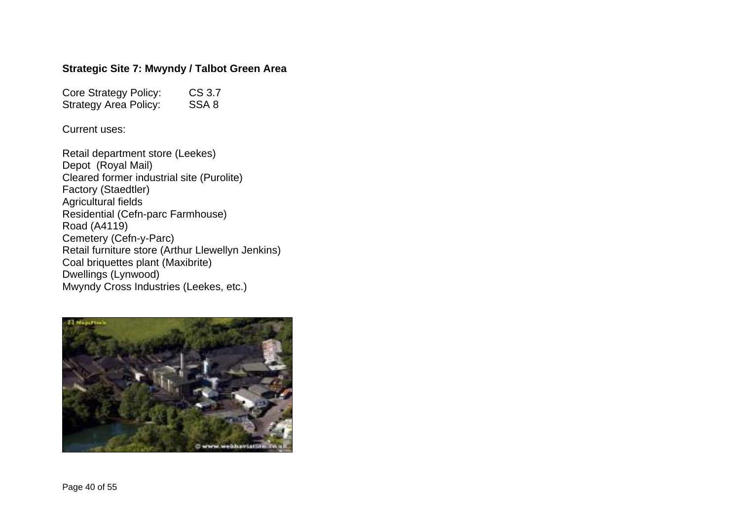#### **Strategic Site 7: Mwyndy / Talbot Green Area**

Core Strategy Policy: CS 3.7<br>Strategy Area Policy: SSA 8 Strategy Area Policy:

Current uses:

Retail department store (Leekes) Depot (Royal Mail) Cleared former industrial site (Purolite) Factory (Staedtler) Agricultural fields Residential (Cefn-parc Farmhouse) Road (A4119) Cemetery (Cefn-y-Parc) Retail furniture store (Arthur Llewellyn Jenkins) Coal briquettes plant (Maxibrite) Dwellings (Lynwood) Mwyndy Cross Industries (Leekes, etc.)

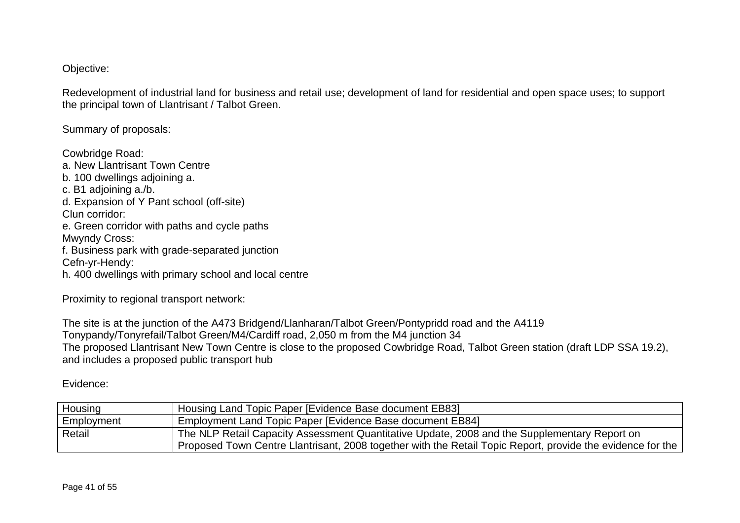Objective:

Redevelopment of industrial land for business and retail use; development of land for residential and open space uses; to support the principal town of Llantrisant / Talbot Green.

Summary of proposals:

Cowbridge Road: a. New Llantrisant Town Centre b. 100 dwellings adjoining a. c. B1 adjoining a./b. d. Expansion of Y Pant school (off-site) Clun corridor: e. Green corridor with paths and cycle paths Mwyndy Cross: f. Business park with grade-separated junction Cefn-yr-Hendy: h. 400 dwellings with primary school and local centre

Proximity to regional transport network:

The site is at the junction of the A473 Bridgend/Llanharan/Talbot Green/Pontypridd road and the A4119 Tonypandy/Tonyrefail/Talbot Green/M4/Cardiff road, 2,050 m from the M4 junction 34 The proposed Llantrisant New Town Centre is close to the proposed Cowbridge Road, Talbot Green station (draft LDP SSA 19.2), and includes a proposed public transport hub

## Evidence:

| Housing    | Housing Land Topic Paper [Evidence Base document EB83]                                                     |
|------------|------------------------------------------------------------------------------------------------------------|
| Employment | Employment Land Topic Paper [Evidence Base document EB84]                                                  |
| Retail     | The NLP Retail Capacity Assessment Quantitative Update, 2008 and the Supplementary Report on               |
|            | Proposed Town Centre Llantrisant, 2008 together with the Retail Topic Report, provide the evidence for the |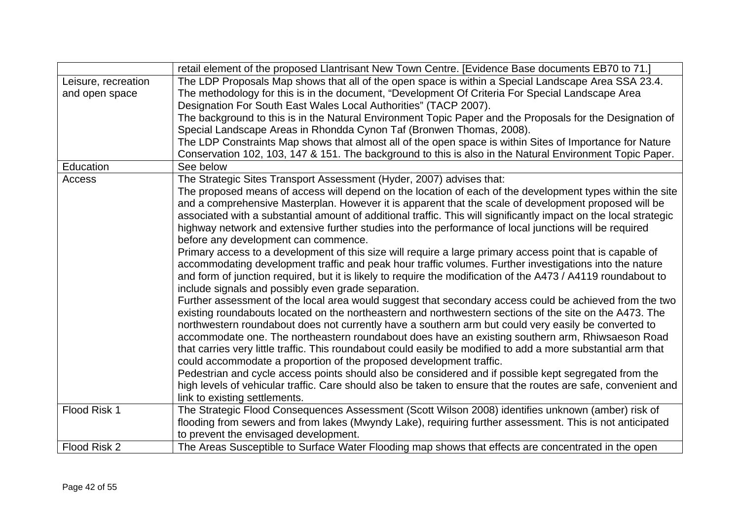|                     | retail element of the proposed Llantrisant New Town Centre. [Evidence Base documents EB70 to 71.]                 |
|---------------------|-------------------------------------------------------------------------------------------------------------------|
| Leisure, recreation | The LDP Proposals Map shows that all of the open space is within a Special Landscape Area SSA 23.4.               |
| and open space      | The methodology for this is in the document, "Development Of Criteria For Special Landscape Area                  |
|                     | Designation For South East Wales Local Authorities" (TACP 2007).                                                  |
|                     | The background to this is in the Natural Environment Topic Paper and the Proposals for the Designation of         |
|                     | Special Landscape Areas in Rhondda Cynon Taf (Bronwen Thomas, 2008).                                              |
|                     | The LDP Constraints Map shows that almost all of the open space is within Sites of Importance for Nature          |
|                     | Conservation 102, 103, 147 & 151. The background to this is also in the Natural Environment Topic Paper.          |
| Education           | See below                                                                                                         |
| Access              | The Strategic Sites Transport Assessment (Hyder, 2007) advises that:                                              |
|                     | The proposed means of access will depend on the location of each of the development types within the site         |
|                     | and a comprehensive Masterplan. However it is apparent that the scale of development proposed will be             |
|                     | associated with a substantial amount of additional traffic. This will significantly impact on the local strategic |
|                     | highway network and extensive further studies into the performance of local junctions will be required            |
|                     | before any development can commence.                                                                              |
|                     | Primary access to a development of this size will require a large primary access point that is capable of         |
|                     | accommodating development traffic and peak hour traffic volumes. Further investigations into the nature           |
|                     | and form of junction required, but it is likely to require the modification of the A473 / A4119 roundabout to     |
|                     | include signals and possibly even grade separation.                                                               |
|                     | Further assessment of the local area would suggest that secondary access could be achieved from the two           |
|                     | existing roundabouts located on the northeastern and northwestern sections of the site on the A473. The           |
|                     | northwestern roundabout does not currently have a southern arm but could very easily be converted to              |
|                     | accommodate one. The northeastern roundabout does have an existing southern arm, Rhiwsaeson Road                  |
|                     | that carries very little traffic. This roundabout could easily be modified to add a more substantial arm that     |
|                     | could accommodate a proportion of the proposed development traffic.                                               |
|                     | Pedestrian and cycle access points should also be considered and if possible kept segregated from the             |
|                     | high levels of vehicular traffic. Care should also be taken to ensure that the routes are safe, convenient and    |
|                     | link to existing settlements.                                                                                     |
| Flood Risk 1        | The Strategic Flood Consequences Assessment (Scott Wilson 2008) identifies unknown (amber) risk of                |
|                     | flooding from sewers and from lakes (Mwyndy Lake), requiring further assessment. This is not anticipated          |
|                     | to prevent the envisaged development.                                                                             |
| Flood Risk 2        | The Areas Susceptible to Surface Water Flooding map shows that effects are concentrated in the open               |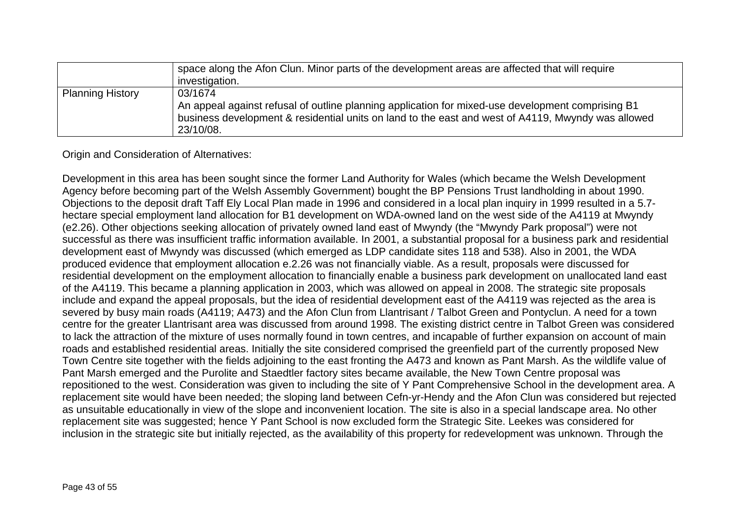|                         | space along the Afon Clun. Minor parts of the development areas are affected that will require<br>investigation.                                                                                                                |
|-------------------------|---------------------------------------------------------------------------------------------------------------------------------------------------------------------------------------------------------------------------------|
| <b>Planning History</b> | 03/1674<br>An appeal against refusal of outline planning application for mixed-use development comprising B1<br>business development & residential units on land to the east and west of A4119, Mwyndy was allowed<br>23/10/08. |

Origin and Consideration of Alternatives:

Development in this area has been sought since the former Land Authority for Wales (which became the Welsh Development Agency before becoming part of the Welsh Assembly Government) bought the BP Pensions Trust landholding in about 1990. Objections to the deposit draft Taff Ely Local Plan made in 1996 and considered in a local plan inquiry in 1999 resulted in a 5.7 hectare special employment land allocation for B1 development on WDA-owned land on the west side of the A4119 at Mwyndy (e2.26). Other objections seeking allocation of privately owned land east of Mwyndy (the "Mwyndy Park proposal") were not successful as there was insufficient traffic information available. In 2001, a substantial proposal for a business park and residential development east of Mwyndy was discussed (which emerged as LDP candidate sites 118 and 538). Also in 2001, the WDA produced evidence that employment allocation e.2.26 was not financially viable. As a result, proposals were discussed for residential development on the employment allocation to financially enable a business park development on unallocated land east of the A4119. This became a planning application in 2003, which was allowed on appeal in 2008. The strategic site proposals include and expand the appeal proposals, but the idea of residential development east of the A4119 was rejected as the area is severed by busy main roads (A4119; A473) and the Afon Clun from Llantrisant / Talbot Green and Pontyclun. A need for a town centre for the greater Llantrisant area was discussed from around 1998. The existing district centre in Talbot Green was considered to lack the attraction of the mixture of uses normally found in town centres, and incapable of further expansion on account of main roads and established residential areas. Initially the site considered comprised the greenfield part of the currently proposed New Town Centre site together with the fields adjoining to the east fronting the A473 and known as Pant Marsh. As the wildlife value of Pant Marsh emerged and the Purolite and Staedtler factory sites became available, the New Town Centre proposal was repositioned to the west. Consideration was given to including the site of Y Pant Comprehensive School in the development area. A replacement site would have been needed; the sloping land between Cefn-yr-Hendy and the Afon Clun was considered but rejected as unsuitable educationally in view of the slope and inconvenient location. The site is also in a special landscape area. No other replacement site was suggested; hence Y Pant School is now excluded form the Strategic Site. Leekes was considered for inclusion in the strategic site but initially rejected, as the availability of this property for redevelopment was unknown. Through the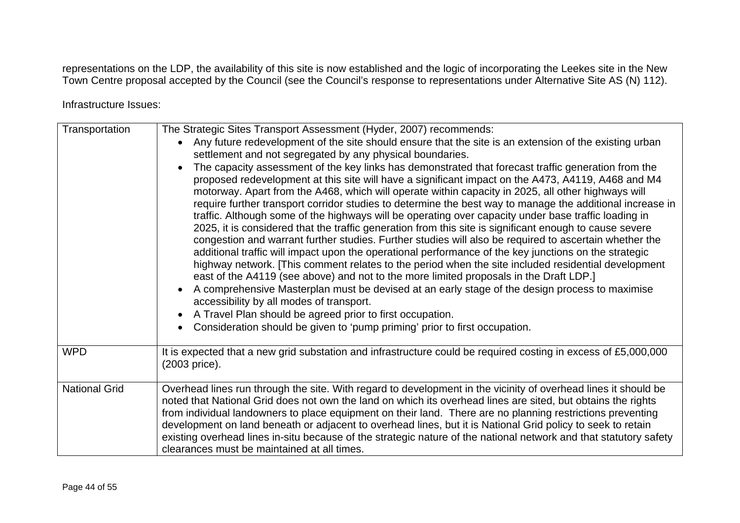representations on the LDP, the availability of this site is now established and the logic of incorporating the Leekes site in the New Town Centre proposal accepted by the Council (see the Council's response to representations under Alternative Site AS (N) 112).

Infrastructure Issues:

| Transportation       | The Strategic Sites Transport Assessment (Hyder, 2007) recommends:<br>Any future redevelopment of the site should ensure that the site is an extension of the existing urban<br>settlement and not segregated by any physical boundaries.<br>The capacity assessment of the key links has demonstrated that forecast traffic generation from the<br>proposed redevelopment at this site will have a significant impact on the A473, A4119, A468 and M4<br>motorway. Apart from the A468, which will operate within capacity in 2025, all other highways will<br>require further transport corridor studies to determine the best way to manage the additional increase in<br>traffic. Although some of the highways will be operating over capacity under base traffic loading in<br>2025, it is considered that the traffic generation from this site is significant enough to cause severe<br>congestion and warrant further studies. Further studies will also be required to ascertain whether the<br>additional traffic will impact upon the operational performance of the key junctions on the strategic<br>highway network. [This comment relates to the period when the site included residential development<br>east of the A4119 (see above) and not to the more limited proposals in the Draft LDP.]<br>A comprehensive Masterplan must be devised at an early stage of the design process to maximise<br>accessibility by all modes of transport.<br>A Travel Plan should be agreed prior to first occupation.<br>Consideration should be given to 'pump priming' prior to first occupation. |
|----------------------|-----------------------------------------------------------------------------------------------------------------------------------------------------------------------------------------------------------------------------------------------------------------------------------------------------------------------------------------------------------------------------------------------------------------------------------------------------------------------------------------------------------------------------------------------------------------------------------------------------------------------------------------------------------------------------------------------------------------------------------------------------------------------------------------------------------------------------------------------------------------------------------------------------------------------------------------------------------------------------------------------------------------------------------------------------------------------------------------------------------------------------------------------------------------------------------------------------------------------------------------------------------------------------------------------------------------------------------------------------------------------------------------------------------------------------------------------------------------------------------------------------------------------------------------------------------------------------------------------------------|
| <b>WPD</b>           | It is expected that a new grid substation and infrastructure could be required costing in excess of £5,000,000<br>(2003 price).                                                                                                                                                                                                                                                                                                                                                                                                                                                                                                                                                                                                                                                                                                                                                                                                                                                                                                                                                                                                                                                                                                                                                                                                                                                                                                                                                                                                                                                                           |
| <b>National Grid</b> | Overhead lines run through the site. With regard to development in the vicinity of overhead lines it should be<br>noted that National Grid does not own the land on which its overhead lines are sited, but obtains the rights<br>from individual landowners to place equipment on their land. There are no planning restrictions preventing<br>development on land beneath or adjacent to overhead lines, but it is National Grid policy to seek to retain<br>existing overhead lines in-situ because of the strategic nature of the national network and that statutory safety<br>clearances must be maintained at all times.                                                                                                                                                                                                                                                                                                                                                                                                                                                                                                                                                                                                                                                                                                                                                                                                                                                                                                                                                                           |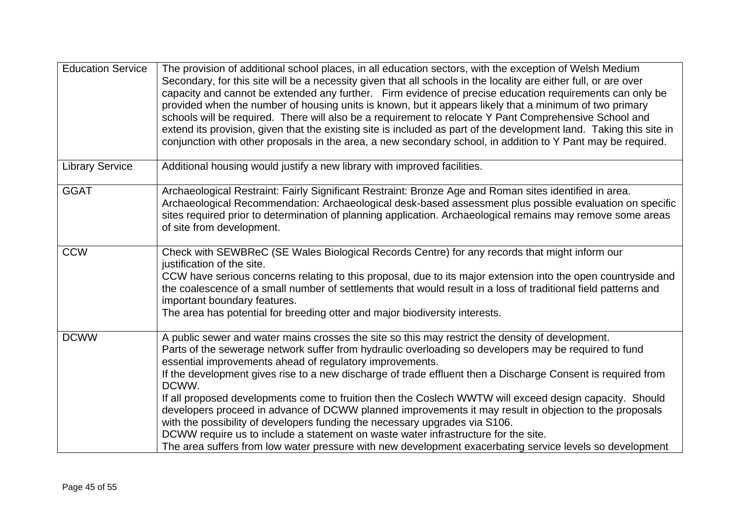| <b>Education Service</b> | The provision of additional school places, in all education sectors, with the exception of Welsh Medium<br>Secondary, for this site will be a necessity given that all schools in the locality are either full, or are over<br>capacity and cannot be extended any further. Firm evidence of precise education requirements can only be<br>provided when the number of housing units is known, but it appears likely that a minimum of two primary<br>schools will be required. There will also be a requirement to relocate Y Pant Comprehensive School and<br>extend its provision, given that the existing site is included as part of the development land. Taking this site in<br>conjunction with other proposals in the area, a new secondary school, in addition to Y Pant may be required.                                                                                                  |
|--------------------------|------------------------------------------------------------------------------------------------------------------------------------------------------------------------------------------------------------------------------------------------------------------------------------------------------------------------------------------------------------------------------------------------------------------------------------------------------------------------------------------------------------------------------------------------------------------------------------------------------------------------------------------------------------------------------------------------------------------------------------------------------------------------------------------------------------------------------------------------------------------------------------------------------|
| <b>Library Service</b>   | Additional housing would justify a new library with improved facilities.                                                                                                                                                                                                                                                                                                                                                                                                                                                                                                                                                                                                                                                                                                                                                                                                                             |
| <b>GGAT</b>              | Archaeological Restraint: Fairly Significant Restraint: Bronze Age and Roman sites identified in area.<br>Archaeological Recommendation: Archaeological desk-based assessment plus possible evaluation on specific<br>sites required prior to determination of planning application. Archaeological remains may remove some areas<br>of site from development.                                                                                                                                                                                                                                                                                                                                                                                                                                                                                                                                       |
| <b>CCW</b>               | Check with SEWBReC (SE Wales Biological Records Centre) for any records that might inform our<br>justification of the site.<br>CCW have serious concerns relating to this proposal, due to its major extension into the open countryside and<br>the coalescence of a small number of settlements that would result in a loss of traditional field patterns and<br>important boundary features.<br>The area has potential for breeding otter and major biodiversity interests.                                                                                                                                                                                                                                                                                                                                                                                                                        |
| <b>DCWW</b>              | A public sewer and water mains crosses the site so this may restrict the density of development.<br>Parts of the sewerage network suffer from hydraulic overloading so developers may be required to fund<br>essential improvements ahead of regulatory improvements.<br>If the development gives rise to a new discharge of trade effluent then a Discharge Consent is required from<br>DCWW.<br>If all proposed developments come to fruition then the Coslech WWTW will exceed design capacity. Should<br>developers proceed in advance of DCWW planned improvements it may result in objection to the proposals<br>with the possibility of developers funding the necessary upgrades via S106.<br>DCWW require us to include a statement on waste water infrastructure for the site.<br>The area suffers from low water pressure with new development exacerbating service levels so development |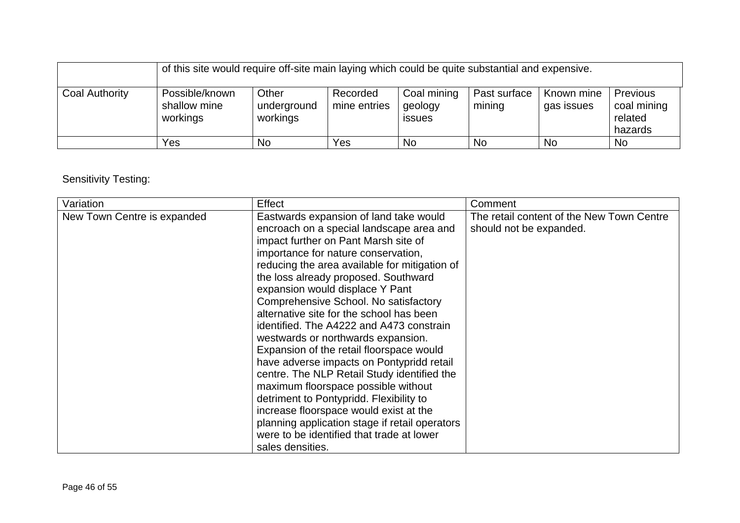|                | of this site would require off-site main laying which could be quite substantial and expensive. |                                  |                          |                                         |                        |                          |                                                      |
|----------------|-------------------------------------------------------------------------------------------------|----------------------------------|--------------------------|-----------------------------------------|------------------------|--------------------------|------------------------------------------------------|
| Coal Authority | Possible/known<br>shallow mine<br>workings                                                      | Other<br>underground<br>workings | Recorded<br>mine entries | Coal mining<br>geology<br><i>issues</i> | Past surface<br>mining | Known mine<br>gas issues | <b>Previous</b><br>coal mining<br>related<br>hazards |
|                | Yes                                                                                             | <b>No</b>                        | Yes                      | No.                                     | <b>No</b>              | <b>No</b>                | No.                                                  |

# Sensitivity Testing:

| Variation<br>Effect                                                                | Comment                                                                                                                                                                                                                                                                                                                                                                                                                                                                                                                                                                                                                                                                                                                                                                                                                                                                      |
|------------------------------------------------------------------------------------|------------------------------------------------------------------------------------------------------------------------------------------------------------------------------------------------------------------------------------------------------------------------------------------------------------------------------------------------------------------------------------------------------------------------------------------------------------------------------------------------------------------------------------------------------------------------------------------------------------------------------------------------------------------------------------------------------------------------------------------------------------------------------------------------------------------------------------------------------------------------------|
| New Town Centre is expanded<br>expansion would displace Y Pant<br>sales densities. | The retail content of the New Town Centre<br>Eastwards expansion of land take would<br>encroach on a special landscape area and<br>should not be expanded.<br>impact further on Pant Marsh site of<br>importance for nature conservation,<br>reducing the area available for mitigation of<br>the loss already proposed. Southward<br>Comprehensive School. No satisfactory<br>alternative site for the school has been<br>identified. The A4222 and A473 constrain<br>westwards or northwards expansion.<br>Expansion of the retail floorspace would<br>have adverse impacts on Pontypridd retail<br>centre. The NLP Retail Study identified the<br>maximum floorspace possible without<br>detriment to Pontypridd. Flexibility to<br>increase floorspace would exist at the<br>planning application stage if retail operators<br>were to be identified that trade at lower |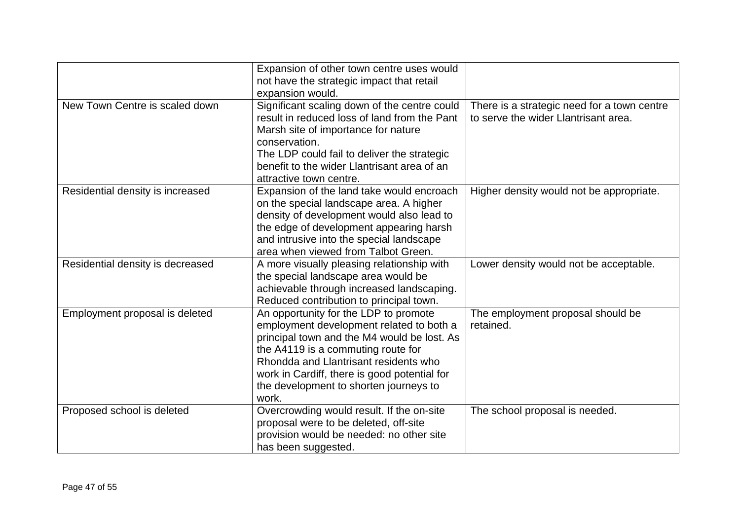|                                  | Expansion of other town centre uses would<br>not have the strategic impact that retail<br>expansion would.                                                                                                                                                                                                         |                                                                                     |
|----------------------------------|--------------------------------------------------------------------------------------------------------------------------------------------------------------------------------------------------------------------------------------------------------------------------------------------------------------------|-------------------------------------------------------------------------------------|
| New Town Centre is scaled down   | Significant scaling down of the centre could<br>result in reduced loss of land from the Pant<br>Marsh site of importance for nature<br>conservation.<br>The LDP could fail to deliver the strategic<br>benefit to the wider Llantrisant area of an<br>attractive town centre.                                      | There is a strategic need for a town centre<br>to serve the wider Llantrisant area. |
| Residential density is increased | Expansion of the land take would encroach<br>on the special landscape area. A higher<br>density of development would also lead to<br>the edge of development appearing harsh<br>and intrusive into the special landscape<br>area when viewed from Talbot Green.                                                    | Higher density would not be appropriate.                                            |
| Residential density is decreased | A more visually pleasing relationship with<br>the special landscape area would be<br>achievable through increased landscaping.<br>Reduced contribution to principal town.                                                                                                                                          | Lower density would not be acceptable.                                              |
| Employment proposal is deleted   | An opportunity for the LDP to promote<br>employment development related to both a<br>principal town and the M4 would be lost. As<br>the A4119 is a commuting route for<br>Rhondda and Llantrisant residents who<br>work in Cardiff, there is good potential for<br>the development to shorten journeys to<br>work. | The employment proposal should be<br>retained.                                      |
| Proposed school is deleted       | Overcrowding would result. If the on-site<br>proposal were to be deleted, off-site<br>provision would be needed: no other site<br>has been suggested.                                                                                                                                                              | The school proposal is needed.                                                      |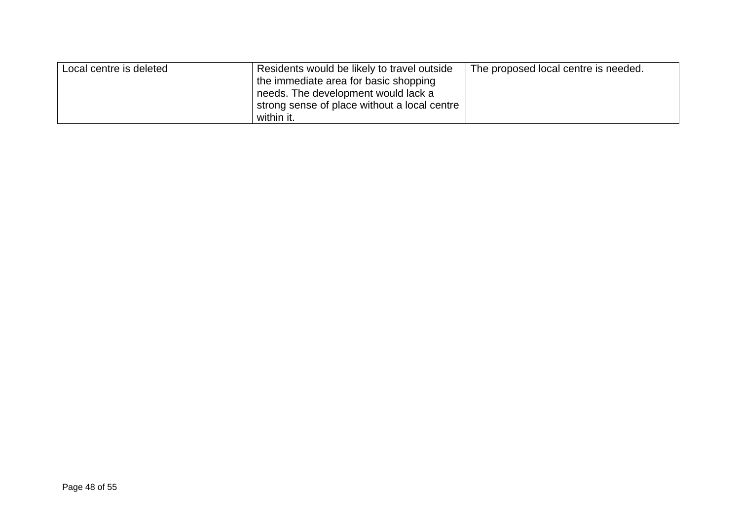| Local centre is deleted | Residents would be likely to travel outside<br>the immediate area for basic shopping<br>needs. The development would lack a | The proposed local centre is needed. |  |
|-------------------------|-----------------------------------------------------------------------------------------------------------------------------|--------------------------------------|--|
|                         | strong sense of place without a local centre<br>within it.                                                                  |                                      |  |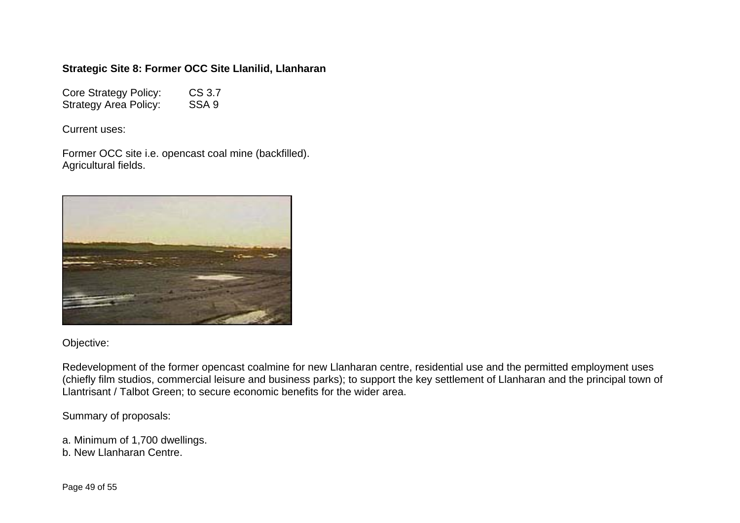### **Strategic Site 8: Former OCC Site Llanilid, Llanharan**

Core Strategy Policy: CS 3.7 Strategy Area Policy: SSA 9

Current uses:

Former OCC site i.e. opencast coal mine (backfilled). Agricultural fields.



### Objective:

Redevelopment of the former opencast coalmine for new Llanharan centre, residential use and the permitted employment uses (chiefly film studios, commercial leisure and business parks); to support the key settlement of Llanharan and the principal town of Llantrisant / Talbot Green; to secure economic benefits for the wider area.

Summary of proposals:

a. Minimum of 1,700 dwellings. b. New Llanharan Centre.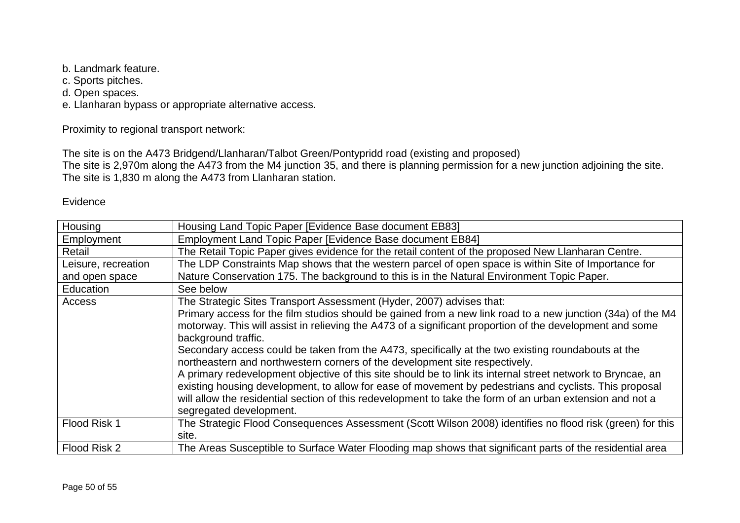b. Landmark feature.

c. Sports pitches.

d. Open spaces.

e. Llanharan bypass or appropriate alternative access.

Proximity to regional transport network:

The site is on the A473 Bridgend/Llanharan/Talbot Green/Pontypridd road (existing and proposed)

The site is 2,970m along the A473 from the M4 junction 35, and there is planning permission for a new junction adjoining the site. The site is 1,830 m along the A473 from Llanharan station.

### Evidence

| Housing                                                                                                | Housing Land Topic Paper [Evidence Base document EB83]                                                      |  |  |  |  |  |  |
|--------------------------------------------------------------------------------------------------------|-------------------------------------------------------------------------------------------------------------|--|--|--|--|--|--|
| Employment                                                                                             | Employment Land Topic Paper [Evidence Base document EB84]                                                   |  |  |  |  |  |  |
| Retail                                                                                                 | The Retail Topic Paper gives evidence for the retail content of the proposed New Llanharan Centre.          |  |  |  |  |  |  |
| Leisure, recreation                                                                                    | The LDP Constraints Map shows that the western parcel of open space is within Site of Importance for        |  |  |  |  |  |  |
| and open space                                                                                         | Nature Conservation 175. The background to this is in the Natural Environment Topic Paper.                  |  |  |  |  |  |  |
| Education                                                                                              | See below                                                                                                   |  |  |  |  |  |  |
| Access                                                                                                 | The Strategic Sites Transport Assessment (Hyder, 2007) advises that:                                        |  |  |  |  |  |  |
|                                                                                                        | Primary access for the film studios should be gained from a new link road to a new junction (34a) of the M4 |  |  |  |  |  |  |
|                                                                                                        | motorway. This will assist in relieving the A473 of a significant proportion of the development and some    |  |  |  |  |  |  |
|                                                                                                        | background traffic.                                                                                         |  |  |  |  |  |  |
|                                                                                                        | Secondary access could be taken from the A473, specifically at the two existing roundabouts at the          |  |  |  |  |  |  |
|                                                                                                        | northeastern and northwestern corners of the development site respectively.                                 |  |  |  |  |  |  |
|                                                                                                        | A primary redevelopment objective of this site should be to link its internal street network to Bryncae, an |  |  |  |  |  |  |
| existing housing development, to allow for ease of movement by pedestrians and cyclists. This proposal |                                                                                                             |  |  |  |  |  |  |
|                                                                                                        | will allow the residential section of this redevelopment to take the form of an urban extension and not a   |  |  |  |  |  |  |
|                                                                                                        | segregated development.                                                                                     |  |  |  |  |  |  |
| Flood Risk 1                                                                                           | The Strategic Flood Consequences Assessment (Scott Wilson 2008) identifies no flood risk (green) for this   |  |  |  |  |  |  |
|                                                                                                        | site.                                                                                                       |  |  |  |  |  |  |
| Flood Risk 2                                                                                           | The Areas Susceptible to Surface Water Flooding map shows that significant parts of the residential area    |  |  |  |  |  |  |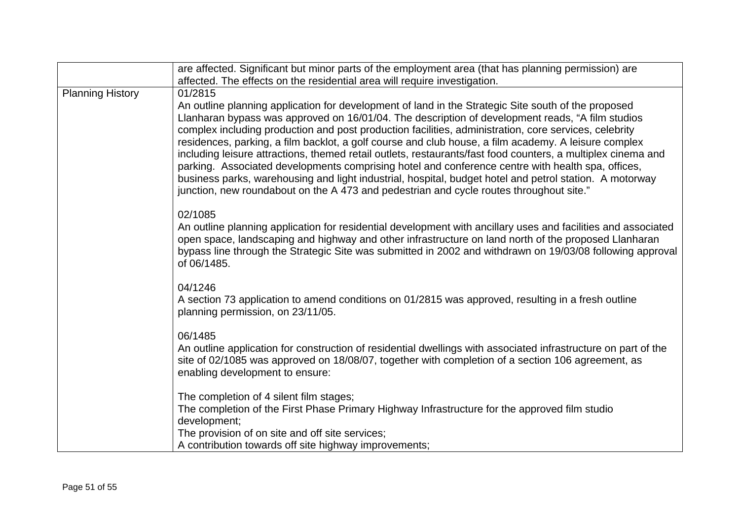|                         | are affected. Significant but minor parts of the employment area (that has planning permission) are                                                                                                                                                                                                                                                                                                                                                                                                                                                                                                                                                                                                                                                                                                                                                            |
|-------------------------|----------------------------------------------------------------------------------------------------------------------------------------------------------------------------------------------------------------------------------------------------------------------------------------------------------------------------------------------------------------------------------------------------------------------------------------------------------------------------------------------------------------------------------------------------------------------------------------------------------------------------------------------------------------------------------------------------------------------------------------------------------------------------------------------------------------------------------------------------------------|
|                         | affected. The effects on the residential area will require investigation.                                                                                                                                                                                                                                                                                                                                                                                                                                                                                                                                                                                                                                                                                                                                                                                      |
| <b>Planning History</b> | 01/2815<br>An outline planning application for development of land in the Strategic Site south of the proposed<br>Llanharan bypass was approved on 16/01/04. The description of development reads, "A film studios<br>complex including production and post production facilities, administration, core services, celebrity<br>residences, parking, a film backlot, a golf course and club house, a film academy. A leisure complex<br>including leisure attractions, themed retail outlets, restaurants/fast food counters, a multiplex cinema and<br>parking. Associated developments comprising hotel and conference centre with health spa, offices,<br>business parks, warehousing and light industrial, hospital, budget hotel and petrol station. A motorway<br>junction, new roundabout on the A 473 and pedestrian and cycle routes throughout site." |
|                         | 02/1085<br>An outline planning application for residential development with ancillary uses and facilities and associated<br>open space, landscaping and highway and other infrastructure on land north of the proposed Llanharan<br>bypass line through the Strategic Site was submitted in 2002 and withdrawn on 19/03/08 following approval<br>of 06/1485.                                                                                                                                                                                                                                                                                                                                                                                                                                                                                                   |
|                         | 04/1246<br>A section 73 application to amend conditions on 01/2815 was approved, resulting in a fresh outline<br>planning permission, on 23/11/05.                                                                                                                                                                                                                                                                                                                                                                                                                                                                                                                                                                                                                                                                                                             |
|                         | 06/1485<br>An outline application for construction of residential dwellings with associated infrastructure on part of the<br>site of 02/1085 was approved on 18/08/07, together with completion of a section 106 agreement, as<br>enabling development to ensure:                                                                                                                                                                                                                                                                                                                                                                                                                                                                                                                                                                                              |
|                         | The completion of 4 silent film stages;<br>The completion of the First Phase Primary Highway Infrastructure for the approved film studio<br>development;<br>The provision of on site and off site services;<br>A contribution towards off site highway improvements;                                                                                                                                                                                                                                                                                                                                                                                                                                                                                                                                                                                           |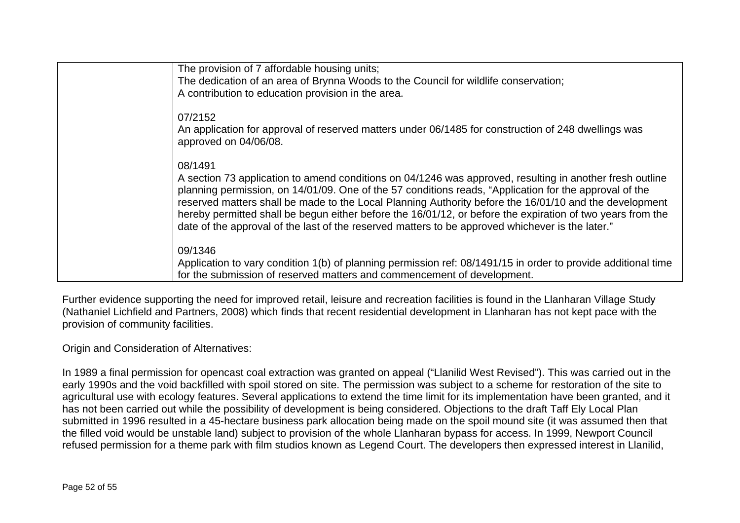| The provision of 7 affordable housing units;<br>The dedication of an area of Brynna Woods to the Council for wildlife conservation;<br>A contribution to education provision in the area.                                                                                                                                                                                                                                                                                                                                                                 |
|-----------------------------------------------------------------------------------------------------------------------------------------------------------------------------------------------------------------------------------------------------------------------------------------------------------------------------------------------------------------------------------------------------------------------------------------------------------------------------------------------------------------------------------------------------------|
| 07/2152<br>An application for approval of reserved matters under 06/1485 for construction of 248 dwellings was<br>approved on 04/06/08.                                                                                                                                                                                                                                                                                                                                                                                                                   |
| 08/1491<br>A section 73 application to amend conditions on 04/1246 was approved, resulting in another fresh outline<br>planning permission, on 14/01/09. One of the 57 conditions reads, "Application for the approval of the<br>reserved matters shall be made to the Local Planning Authority before the 16/01/10 and the development<br>hereby permitted shall be begun either before the 16/01/12, or before the expiration of two years from the<br>date of the approval of the last of the reserved matters to be approved whichever is the later." |
| 09/1346<br>Application to vary condition 1(b) of planning permission ref: 08/1491/15 in order to provide additional time<br>for the submission of reserved matters and commencement of development.                                                                                                                                                                                                                                                                                                                                                       |

Further evidence supporting the need for improved retail, leisure and recreation facilities is found in the Llanharan Village Study (Nathaniel Lichfield and Partners, 2008) which finds that recent residential development in Llanharan has not kept pace with the provision of community facilities.

Origin and Consideration of Alternatives:

In 1989 a final permission for opencast coal extraction was granted on appeal ("Llanilid West Revised"). This was carried out in the early 1990s and the void backfilled with spoil stored on site. The permission was subject to a scheme for restoration of the site to agricultural use with ecology features. Several applications to extend the time limit for its implementation have been granted, and it has not been carried out while the possibility of development is being considered. Objections to the draft Taff Ely Local Plan submitted in 1996 resulted in a 45-hectare business park allocation being made on the spoil mound site (it was assumed then that the filled void would be unstable land) subject to provision of the whole Llanharan bypass for access. In 1999, Newport Council refused permission for a theme park with film studios known as Legend Court. The developers then expressed interest in Llanilid,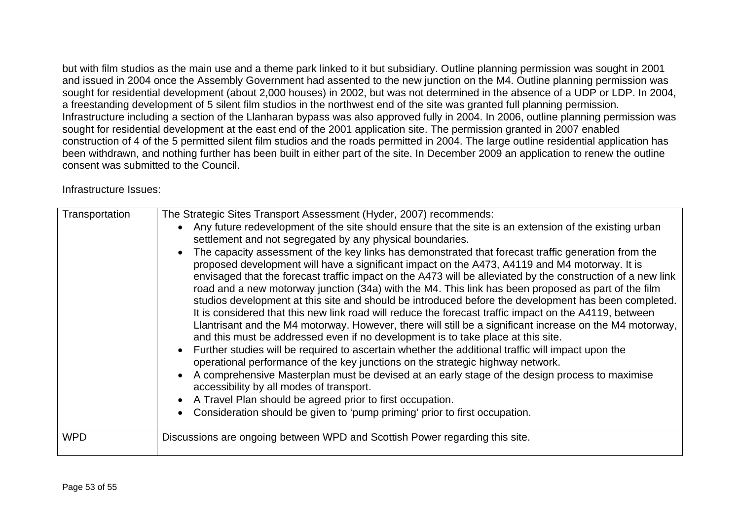but with film studios as the main use and a theme park linked to it but subsidiary. Outline planning permission was sought in 2001 and issued in 2004 once the Assembly Government had assented to the new junction on the M4. Outline planning permission was sought for residential development (about 2,000 houses) in 2002, but was not determined in the absence of a UDP or LDP. In 2004, a freestanding development of 5 silent film studios in the northwest end of the site was granted full planning permission. Infrastructure including a section of the Llanharan bypass was also approved fully in 2004. In 2006, outline planning permission was sought for residential development at the east end of the 2001 application site. The permission granted in 2007 enabled construction of 4 of the 5 permitted silent film studios and the roads permitted in 2004. The large outline residential application has been withdrawn, and nothing further has been built in either part of the site. In December 2009 an application to renew the outline consent was submitted to the Council.

Infrastructure Issues:

| Transportation | The Strategic Sites Transport Assessment (Hyder, 2007) recommends:<br>Any future redevelopment of the site should ensure that the site is an extension of the existing urban<br>settlement and not segregated by any physical boundaries.<br>The capacity assessment of the key links has demonstrated that forecast traffic generation from the<br>proposed development will have a significant impact on the A473, A4119 and M4 motorway. It is<br>envisaged that the forecast traffic impact on the A473 will be alleviated by the construction of a new link<br>road and a new motorway junction (34a) with the M4. This link has been proposed as part of the film<br>studios development at this site and should be introduced before the development has been completed.<br>It is considered that this new link road will reduce the forecast traffic impact on the A4119, between<br>Llantrisant and the M4 motorway. However, there will still be a significant increase on the M4 motorway,<br>and this must be addressed even if no development is to take place at this site.<br>Further studies will be required to ascertain whether the additional traffic will impact upon the<br>operational performance of the key junctions on the strategic highway network.<br>A comprehensive Masterplan must be devised at an early stage of the design process to maximise<br>accessibility by all modes of transport.<br>A Travel Plan should be agreed prior to first occupation.<br>$\bullet$<br>Consideration should be given to 'pump priming' prior to first occupation. |
|----------------|----------------------------------------------------------------------------------------------------------------------------------------------------------------------------------------------------------------------------------------------------------------------------------------------------------------------------------------------------------------------------------------------------------------------------------------------------------------------------------------------------------------------------------------------------------------------------------------------------------------------------------------------------------------------------------------------------------------------------------------------------------------------------------------------------------------------------------------------------------------------------------------------------------------------------------------------------------------------------------------------------------------------------------------------------------------------------------------------------------------------------------------------------------------------------------------------------------------------------------------------------------------------------------------------------------------------------------------------------------------------------------------------------------------------------------------------------------------------------------------------------------------------------------------------------------------------------------------|
| <b>WPD</b>     | Discussions are ongoing between WPD and Scottish Power regarding this site.                                                                                                                                                                                                                                                                                                                                                                                                                                                                                                                                                                                                                                                                                                                                                                                                                                                                                                                                                                                                                                                                                                                                                                                                                                                                                                                                                                                                                                                                                                            |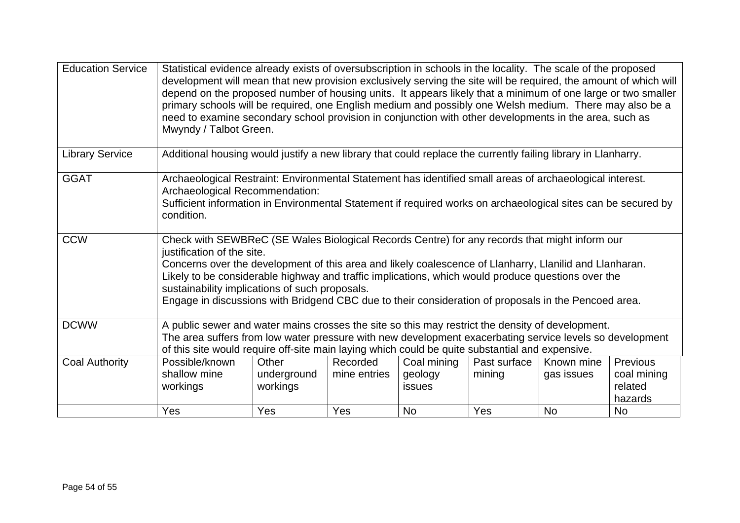| <b>Education Service</b> | Statistical evidence already exists of oversubscription in schools in the locality. The scale of the proposed<br>development will mean that new provision exclusively serving the site will be required, the amount of which will<br>depend on the proposed number of housing units. It appears likely that a minimum of one large or two smaller<br>primary schools will be required, one English medium and possibly one Welsh medium. There may also be a<br>need to examine secondary school provision in conjunction with other developments in the area, such as<br>Mwyndy / Talbot Green. |                                                                                                               |                                 |                                                      |                               |                                       |                                                                   |  |  |
|--------------------------|--------------------------------------------------------------------------------------------------------------------------------------------------------------------------------------------------------------------------------------------------------------------------------------------------------------------------------------------------------------------------------------------------------------------------------------------------------------------------------------------------------------------------------------------------------------------------------------------------|---------------------------------------------------------------------------------------------------------------|---------------------------------|------------------------------------------------------|-------------------------------|---------------------------------------|-------------------------------------------------------------------|--|--|
| <b>Library Service</b>   |                                                                                                                                                                                                                                                                                                                                                                                                                                                                                                                                                                                                  | Additional housing would justify a new library that could replace the currently failing library in Llanharry. |                                 |                                                      |                               |                                       |                                                                   |  |  |
| <b>GGAT</b>              | Archaeological Restraint: Environmental Statement has identified small areas of archaeological interest.<br>Archaeological Recommendation:<br>Sufficient information in Environmental Statement if required works on archaeological sites can be secured by<br>condition.                                                                                                                                                                                                                                                                                                                        |                                                                                                               |                                 |                                                      |                               |                                       |                                                                   |  |  |
| <b>CCW</b>               | Check with SEWBReC (SE Wales Biological Records Centre) for any records that might inform our<br>justification of the site.<br>Concerns over the development of this area and likely coalescence of Llanharry, Llanilid and Llanharan.<br>Likely to be considerable highway and traffic implications, which would produce questions over the<br>sustainability implications of such proposals.<br>Engage in discussions with Bridgend CBC due to their consideration of proposals in the Pencoed area.                                                                                           |                                                                                                               |                                 |                                                      |                               |                                       |                                                                   |  |  |
| <b>DCWW</b>              | A public sewer and water mains crosses the site so this may restrict the density of development.<br>The area suffers from low water pressure with new development exacerbating service levels so development<br>of this site would require off-site main laying which could be quite substantial and expensive.                                                                                                                                                                                                                                                                                  |                                                                                                               |                                 |                                                      |                               |                                       |                                                                   |  |  |
| <b>Coal Authority</b>    | Possible/known<br>shallow mine<br>workings<br>Yes                                                                                                                                                                                                                                                                                                                                                                                                                                                                                                                                                | Other<br>underground<br>workings<br>Yes                                                                       | Recorded<br>mine entries<br>Yes | Coal mining<br>geology<br><b>issues</b><br><b>No</b> | Past surface<br>mining<br>Yes | Known mine<br>gas issues<br><b>No</b> | <b>Previous</b><br>coal mining<br>related<br>hazards<br><b>No</b> |  |  |
|                          |                                                                                                                                                                                                                                                                                                                                                                                                                                                                                                                                                                                                  |                                                                                                               |                                 |                                                      |                               |                                       |                                                                   |  |  |